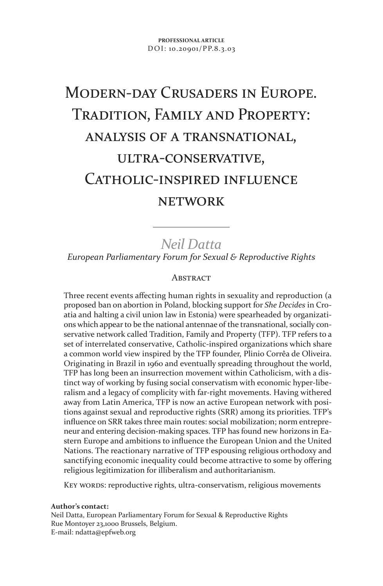# Modern-day Crusaders in Europe. Tradition, Family and Property: analysis of a transnational, ultra-conservative, CATHOLIC-INSPIRED INFLUENCE **NETWORK**

*Neil Datta European Parliamentary Forum for Sexual & Reproductive Rights*

**ABSTRACT** 

Three recent events affecting human rights in sexuality and reproduction (a proposed ban on abortion in Poland, blocking support for *She Decides* in Croatia and halting a civil union law in Estonia) were spearheaded by organizations which appear to be the national antennae of the transnational, socially conservative network called Tradition, Family and Property (TFP). TFP refers to a set of interrelated conservative, Catholic-inspired organizations which share a common world view inspired by the TFP founder, Plinio Corrêa de Oliveira. Originating in Brazil in 1960 and eventually spreading throughout the world, TFP has long been an insurrection movement within Catholicism, with a distinct way of working by fusing social conservatism with economic hyper-liberalism and a legacy of complicity with far-right movements. Having withered away from Latin America, TFP is now an active European network with positions against sexual and reproductive rights (SRR) among its priorities. TFP's influence on SRR takes three main routes: social mobilization; norm entrepreneur and entering decision-making spaces. TFP has found new horizons in Eastern Europe and ambitions to influence the European Union and the United Nations. The reactionary narrative of TFP espousing religious orthodoxy and sanctifying economic inequality could become attractive to some by offering religious legitimization for illiberalism and authoritarianism.

KEY WORDS: reproductive rights, ultra-conservatism, religious movements

**Author's contact:**

Neil Datta, European Parliamentary Forum for Sexual & Reproductive Rights Rue Montoyer 23,1000 Brussels, Belgium. E-mail: ndatta@epfweb.org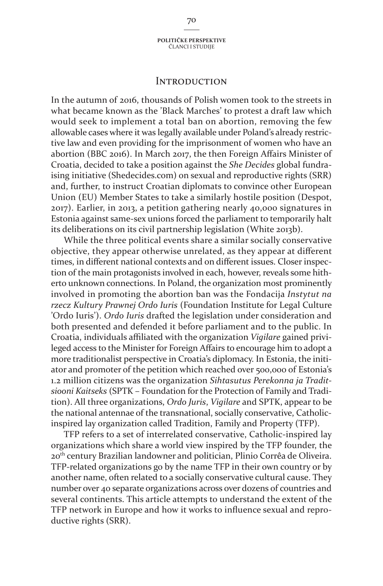### **INTRODUCTION**

In the autumn of 2016, thousands of Polish women took to the streets in what became known as the 'Black Marches' to protest a draft law which would seek to implement a total ban on abortion, removing the few allowable cases where it was legally available under Poland's already restrictive law and even providing for the imprisonment of women who have an abortion (BBC 2016). In March 2017, the then Foreign Affairs Minister of Croatia, decided to take a position against the *She Decides* global fundraising initiative (Shedecides.com) on sexual and reproductive rights (SRR) and, further, to instruct Croatian diplomats to convince other European Union (EU) Member States to take a similarly hostile position (Despot, 2017). Earlier, in 2013, a petition gathering nearly 40,000 signatures in Estonia against same-sex unions forced the parliament to temporarily halt its deliberations on its civil partnership legislation (White 2013b).

While the three political events share a similar socially conservative objective, they appear otherwise unrelated, as they appear at different times, in different national contexts and on different issues. Closer inspection of the main protagonists involved in each, however, reveals some hitherto unknown connections. In Poland, the organization most prominently involved in promoting the abortion ban was the Fondacija *Instytut na rzecz Kultury Prawnej Ordo Iuris* (Foundation Institute for Legal Culture 'Ordo Iuris'). *Ordo Iuris* drafted the legislation under consideration and both presented and defended it before parliament and to the public. In Croatia, individuals affiliated with the organization *Vigilare* gained privileged access to the Minister for Foreign Affairs to encourage him to adopt a more traditionalist perspective in Croatia's diplomacy. In Estonia, the initiator and promoter of the petition which reached over 500,000 of Estonia's 1.2 million citizens was the organization *Sihtasutus Perekonna ja Traditsiooni Kaitseks* (SPTK – Foundation for the Protection of Family and Tradition). All three organizations, *Ordo Juris*, *Vigilare* and SPTK, appear to be the national antennae of the transnational, socially conservative, Catholicinspired lay organization called Tradition, Family and Property (TFP).

TFP refers to a set of interrelated conservative, Catholic-inspired lay organizations which share a world view inspired by the TFP founder, the 20th century Brazilian landowner and politician, Plinio Corrêa de Oliveira. TFP-related organizations go by the name TFP in their own country or by another name, often related to a socially conservative cultural cause. They number over 40 separate organizations across over dozens of countries and several continents. This article attempts to understand the extent of the TFP network in Europe and how it works to influence sexual and reproductive rights (SRR).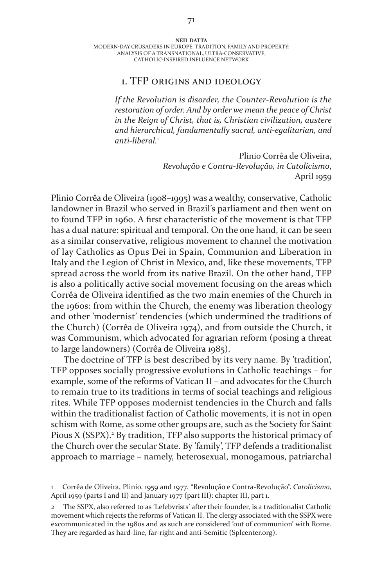# 1. TFP origins and ideology

*If the Revolution is disorder, the Counter-Revolution is the restoration of order. And by order we mean the peace of Christ in the Reign of Christ, that is, Christian civilization, austere and hierarchical, fundamentally sacral, anti-egalitarian, and anti-liberal.*<sup>1</sup>

> Plinio Corrêa de Oliveira, *Revolução e Contra-Revolução, in Catolicismo*, April 1959

Plinio Corrêa de Oliveira (1908–1995) was a wealthy, conservative, Catholic landowner in Brazil who served in Brazil's parliament and then went on to found TFP in 1960. A first characteristic of the movement is that TFP has a dual nature: spiritual and temporal. On the one hand, it can be seen as a similar conservative, religious movement to channel the motivation of lay Catholics as Opus Dei in Spain, Communion and Liberation in Italy and the Legion of Christ in Mexico, and, like these movements, TFP spread across the world from its native Brazil. On the other hand, TFP is also a politically active social movement focusing on the areas which Corrêa de Oliveira identified as the two main enemies of the Church in the 1960s: from within the Church, the enemy was liberation theology and other 'modernist' tendencies (which undermined the traditions of the Church) (Corrêa de Oliveira 1974), and from outside the Church, it was Communism, which advocated for agrarian reform (posing a threat to large landowners) (Corrêa de Oliveira 1985).

The doctrine of TFP is best described by its very name. By 'tradition', TFP opposes socially progressive evolutions in Catholic teachings – for example, some of the reforms of Vatican II – and advocates for the Church to remain true to its traditions in terms of social teachings and religious rites. While TFP opposes modernist tendencies in the Church and falls within the traditionalist faction of Catholic movements, it is not in open schism with Rome, as some other groups are, such as the Society for Saint Pious X (SSPX).<sup>2</sup> By tradition, TFP also supports the historical primacy of the Church over the secular State. By 'family', TFP defends a traditionalist approach to marriage – namely, heterosexual, monogamous, patriarchal

Corrêa de Oliveira, Plinio. 1959 and 1977. "Revolução e Contra-Revolução". *Catolicismo*, April 1959 (parts I and II) and January 1977 (part III): chapter III, part 1.

The SSPX, also referred to as 'Lefebvrists' after their founder, is a traditionalist Catholic movement which rejects the reforms of Vatican II. The clergy associated with the SSPX were excommunicated in the 1980s and as such are considered 'out of communion' with Rome. They are regarded as hard-line, far-right and anti-Semitic (Splcenter.org).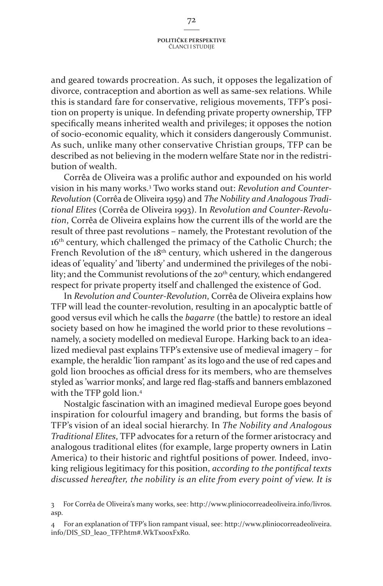and geared towards procreation. As such, it opposes the legalization of divorce, contraception and abortion as well as same-sex relations. While this is standard fare for conservative, religious movements, TFP's position on property is unique. In defending private property ownership, TFP specifically means inherited wealth and privileges; it opposes the notion of socio-economic equality, which it considers dangerously Communist. As such, unlike many other conservative Christian groups, TFP can be described as not believing in the modern welfare State nor in the redistribution of wealth.

Corrêa de Oliveira was a prolific author and expounded on his world vision in his many works.<sup>3</sup> Two works stand out: *Revolution and Counter-Revolution* (Corrêa de Oliveira 1959) and *The Nobility and Analogous Traditional Elites* (Corrêa de Oliveira 1993). In *Revolution and Counter-Revolution*, Corrêa de Oliveira explains how the current ills of the world are the result of three past revolutions – namely, the Protestant revolution of the 16<sup>th</sup> century, which challenged the primacy of the Catholic Church; the French Revolution of the 18<sup>th</sup> century, which ushered in the dangerous ideas of 'equality' and 'liberty' and undermined the privileges of the nobility; and the Communist revolutions of the 20<sup>th</sup> century, which endangered respect for private property itself and challenged the existence of God.

In *Revolution and Counter-Revolution*, Corrêa de Oliveira explains how TFP will lead the counter-revolution, resulting in an apocalyptic battle of good versus evil which he calls the *bagarre* (the battle) to restore an ideal society based on how he imagined the world prior to these revolutions – namely, a society modelled on medieval Europe. Harking back to an idealized medieval past explains TFP's extensive use of medieval imagery – for example, the heraldic 'lion rampant' as its logo and the use of red capes and gold lion brooches as official dress for its members, who are themselves styled as 'warrior monks', and large red flag-staffs and banners emblazoned with the TFP gold lion.

Nostalgic fascination with an imagined medieval Europe goes beyond inspiration for colourful imagery and branding, but forms the basis of TFP's vision of an ideal social hierarchy. In *The Nobility and Analogous Traditional Elites*, TFP advocates for a return of the former aristocracy and analogous traditional elites (for example, large property owners in Latin America) to their historic and rightful positions of power. Indeed, invoking religious legitimacy for this position, *according to the pontifical texts discussed hereafter, the nobility is an elite from every point of view. It is* 

For Corrêa de Oliveira's many works, see: http://www.pliniocorreadeoliveira.info/livros. asp.

For an explanation of TFP's lion rampant visual, see: http://www.pliniocorreadeoliveira. info/DIS\_SD\_leao\_TFP.htm#.WkTxo0xFxRo.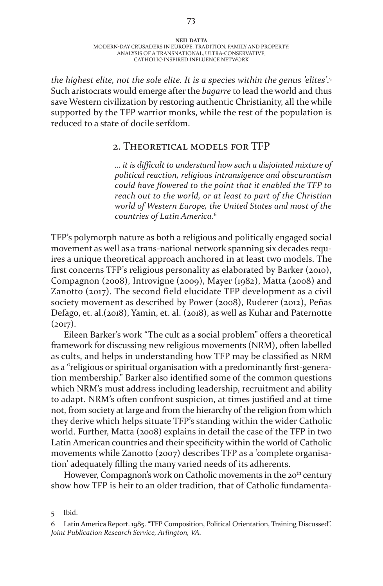*the highest elite, not the sole elite. It is a species within the genus 'elites'*. Such aristocrats would emerge after the *bagarre* to lead the world and thus save Western civilization by restoring authentic Christianity, all the while supported by the TFP warrior monks, while the rest of the population is reduced to a state of docile serfdom.

# 2. Theoretical models for TFP

*… it is difficult to understand how such a disjointed mixture of political reaction, religious intransigence and obscurantism could have flowered to the point that it enabled the TFP to reach out to the world, or at least to part of the Christian world of Western Europe, the United States and most of the countries of Latin America.*

TFP's polymorph nature as both a religious and politically engaged social movement as well as a trans-national network spanning six decades requires a unique theoretical approach anchored in at least two models. The first concerns TFP's religious personality as elaborated by Barker (2010), Compagnon (2008), Introvigne (2009), Mayer (1982), Matta (2008) and Zanotto (2017). The second field elucidate TFP development as a civil society movement as described by Power (2008), Ruderer (2012), Peñas Defago, et. al.(2018), Yamin, et. al. (2018), as well as Kuhar and Paternotte  $(2017).$ 

Eileen Barker's work "The cult as a social problem" offers a theoretical framework for discussing new religious movements (NRM), often labelled as cults, and helps in understanding how TFP may be classified as NRM as a "religious or spiritual organisation with a predominantly first-generation membership." Barker also identified some of the common questions which NRM's must address including leadership, recruitment and ability to adapt. NRM's often confront suspicion, at times justified and at time not, from society at large and from the hierarchy of the religion from which they derive which helps situate TFP's standing within the wider Catholic world. Further, Matta (2008) explains in detail the case of the TFP in two Latin American countries and their specificity within the world of Catholic movements while Zanotto (2007) describes TFP as a 'complete organisation' adequately filling the many varied needs of its adherents.

However, Compagnon's work on Catholic movements in the 20<sup>th</sup> century show how TFP is heir to an older tradition, that of Catholic fundamenta-

5 Ibid.

Latin America Report. 1985. "TFP Composition, Political Orientation, Training Discussed". *Joint Publication Research Service, Arlington, VA.*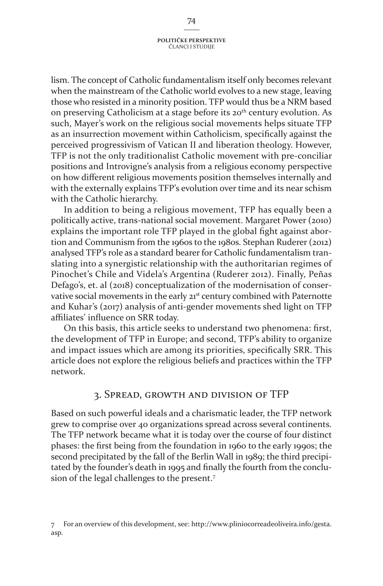lism. The concept of Catholic fundamentalism itself only becomes relevant when the mainstream of the Catholic world evolves to a new stage, leaving those who resisted in a minority position. TFP would thus be a NRM based on preserving Catholicism at a stage before its 20<sup>th</sup> century evolution. As such, Mayer's work on the religious social movements helps situate TFP as an insurrection movement within Catholicism, specifically against the perceived progressivism of Vatican II and liberation theology. However, TFP is not the only traditionalist Catholic movement with pre-conciliar positions and Introvigne's analysis from a religious economy perspective on how different religious movements position themselves internally and with the externally explains TFP's evolution over time and its near schism with the Catholic hierarchy.

In addition to being a religious movement, TFP has equally been a politically active, trans-national social movement. Margaret Power (2010) explains the important role TFP played in the global fight against abortion and Communism from the 1960s to the 1980s. Stephan Ruderer (2012) analysed TFP's role as a standard bearer for Catholic fundamentalism translating into a synergistic relationship with the authoritarian regimes of Pinochet's Chile and Videla's Argentina (Ruderer 2012). Finally, Peñas Defago's, et. al (2018) conceptualization of the modernisation of conservative social movements in the early 21<sup>st</sup> century combined with Paternotte and Kuhar's (2017) analysis of anti-gender movements shed light on TFP affiliates' influence on SRR today.

On this basis, this article seeks to understand two phenomena: first, the development of TFP in Europe; and second, TFP's ability to organize and impact issues which are among its priorities, specifically SRR. This article does not explore the religious beliefs and practices within the TFP network.

# 3. Spread, growth and division of TFP

Based on such powerful ideals and a charismatic leader, the TFP network grew to comprise over 40 organizations spread across several continents. The TFP network became what it is today over the course of four distinct phases: the first being from the foundation in 1960 to the early 1990s; the second precipitated by the fall of the Berlin Wall in 1989; the third precipitated by the founder's death in 1995 and finally the fourth from the conclusion of the legal challenges to the present.<sup>7</sup>

For an overview of this development, see: http://www.pliniocorreadeoliveira.info/gesta. asp.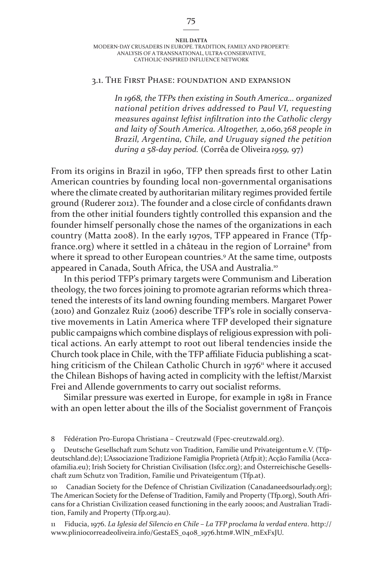### 3.1. The First Phase: foundation and expansion

*In 1968, the TFPs then existing in South America… organized national petition drives addressed to Paul VI, requesting measures against leftist infiltration into the Catholic clergy and laity of South America. Altogether, 2,060,368 people in Brazil, Argentina, Chile, and Uruguay signed the petition during a 58-day period.* (Corrêa de Oliveira *1959,* 97)

From its origins in Brazil in 1960, TFP then spreads first to other Latin American countries by founding local non-governmental organisations where the climate created by authoritarian military regimes provided fertile ground (Ruderer 2012). The founder and a close circle of confidants drawn from the other initial founders tightly controlled this expansion and the founder himself personally chose the names of the organizations in each country (Matta 2008). In the early 1970s, TFP appeared in France (Tfpfrance.org) where it settled in a château in the region of Lorraine<sup>8</sup> from where it spread to other European countries.<sup>9</sup> At the same time, outposts appeared in Canada, South Africa, the USA and Australia.<sup>10</sup>

In this period TFP's primary targets were Communism and Liberation theology, the two forces joining to promote agrarian reforms which threatened the interests of its land owning founding members. Margaret Power (2010) and Gonzalez Ruiz (2006) describe TFP's role in socially conservative movements in Latin America where TFP developed their signature public campaigns which combine displays of religious expression with political actions. An early attempt to root out liberal tendencies inside the Church took place in Chile, with the TFP affiliate Fiducia publishing a scathing criticism of the Chilean Catholic Church in  $1976<sup>n</sup>$  where it accused the Chilean Bishops of having acted in complicity with the leftist/Marxist Frei and Allende governments to carry out socialist reforms.

Similar pressure was exerted in Europe, for example in 1981 in France with an open letter about the ills of the Socialist government of François

Fédération Pro-Europa Christiana – Creutzwald (Fpec-creutzwald.org).

 Deutsche Gesellschaft zum Schutz von Tradition, Familie und Privateigentum e.V. (Tfpdeutschland.de); L'Associazione Tradizione Famiglia Proprietà (Atfp.it); Acção Família (Accaofamilia.eu); Irish Society for Christian Civilisation (Isfcc.org); and Österreichische Gesellschaft zum Schutz von Tradition, Familie und Privateigentum (Tfp.at).

10 Canadian Society for the Defence of Christian Civilization (Canadaneedsourlady.org); The American Society for the Defense of Tradition, Family and Property (Tfp.org), South Africans for a Christian Civilization ceased functioning in the early 2000s; and Australian Tradition, Family and Property (Tfp.org.au).

11 Fiducia, 1976. *La Iglesia del Silencio en Chile – La TFP proclama la verdad entera*. http:// www.pliniocorreadeoliveira.info/GestaES\_0408\_1976.htm#.WlN\_mExFxJU.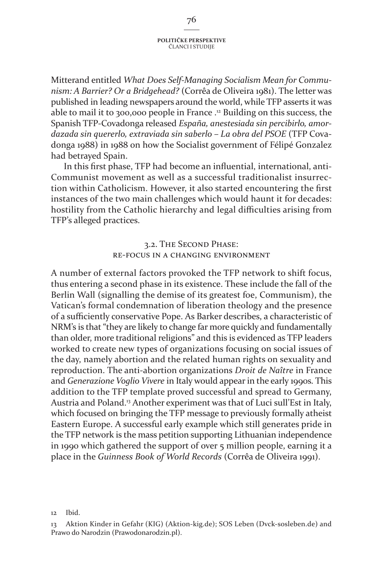Mitterand entitled *What Does Self-Managing Socialism Mean for Communism: A Barrier? Or a Bridgehead?* (Corrêa de Oliveira 1981). The letter was published in leading newspapers around the world, while TFP asserts it was able to mail it to 300,000 people in France .12 Building on this success, the Spanish TFP-Covadonga released *España, anestesiada sin percibirlo, amordazada sin quererlo, extraviada sin saberlo – La obra del PSOE* (TFP Covadonga 1988) in 1988 on how the Socialist government of Félipé Gonzalez had betrayed Spain.

In this first phase, TFP had become an influential, international, anti-Communist movement as well as a successful traditionalist insurrection within Catholicism. However, it also started encountering the first instances of the two main challenges which would haunt it for decades: hostility from the Catholic hierarchy and legal difficulties arising from TFP's alleged practices.

# 3.2. The Second Phase: re-focus in a changing environment

A number of external factors provoked the TFP network to shift focus, thus entering a second phase in its existence. These include the fall of the Berlin Wall (signalling the demise of its greatest foe, Communism), the Vatican's formal condemnation of liberation theology and the presence of a sufficiently conservative Pope. As Barker describes, a characteristic of NRM's is that "they are likely to change far more quickly and fundamentally than older, more traditional religions" and this is evidenced as TFP leaders worked to create new types of organizations focusing on social issues of the day, namely abortion and the related human rights on sexuality and reproduction. The anti-abortion organizations *Droit de Naître* in France and *Generazione Voglio Vivere* in Italy would appear in the early 1990s. This addition to the TFP template proved successful and spread to Germany, Austria and Poland.<sup>13</sup> Another experiment was that of Luci sull'Est in Italy, which focused on bringing the TFP message to previously formally atheist Eastern Europe. A successful early example which still generates pride in the TFP network is the mass petition supporting Lithuanian independence in 1990 which gathered the support of over 5 million people, earning it a place in the *Guinness Book of World Records* (Corrêa de Oliveira 1991).

12 Ibid.

<sup>13</sup> Aktion Kinder in Gefahr (KIG) (Aktion-kig.de); SOS Leben (Dvck-sosleben.de) and Prawo do Narodzin (Prawodonarodzin.pl).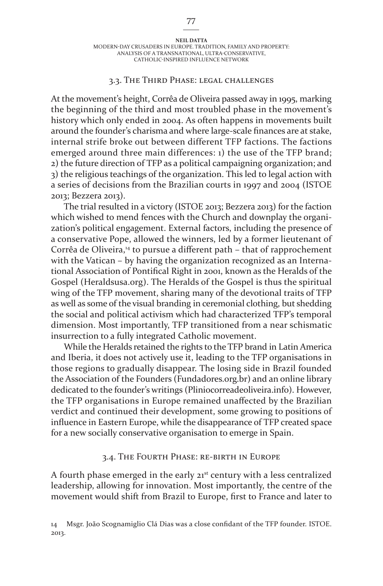### 3.3. The Third Phase: legal challenges

At the movement's height, Corrêa de Oliveira passed away in 1995, marking the beginning of the third and most troubled phase in the movement's history which only ended in 2004. As often happens in movements built around the founder's charisma and where large-scale finances are at stake, internal strife broke out between different TFP factions. The factions emerged around three main differences: 1) the use of the TFP brand; 2) the future direction of TFP as a political campaigning organization; and 3) the religious teachings of the organization. This led to legal action with a series of decisions from the Brazilian courts in 1997 and 2004 (ISTOE 2013; Bezzera 2013).

The trial resulted in a victory (ISTOE 2013; Bezzera 2013) for the faction which wished to mend fences with the Church and downplay the organization's political engagement. External factors, including the presence of a conservative Pope, allowed the winners, led by a former lieutenant of Corrêa de Oliveira,<sup>14</sup> to pursue a different path – that of rapprochement with the Vatican – by having the organization recognized as an International Association of Pontifical Right in 2001, known as the Heralds of the Gospel (Heraldsusa.org). The Heralds of the Gospel is thus the spiritual wing of the TFP movement, sharing many of the devotional traits of TFP as well as some of the visual branding in ceremonial clothing, but shedding the social and political activism which had characterized TFP's temporal dimension. Most importantly, TFP transitioned from a near schismatic insurrection to a fully integrated Catholic movement.

While the Heralds retained the rights to the TFP brand in Latin America and Iberia, it does not actively use it, leading to the TFP organisations in those regions to gradually disappear. The losing side in Brazil founded the Association of the Founders (Fundadores.org.br) and an online library dedicated to the founder's writings (Pliniocorreadeoliveira.info). However, the TFP organisations in Europe remained unaffected by the Brazilian verdict and continued their development, some growing to positions of influence in Eastern Europe, while the disappearance of TFP created space for a new socially conservative organisation to emerge in Spain.

### 3.4. The Fourth Phase: re-birth in Europe

A fourth phase emerged in the early  $21^{st}$  century with a less centralized leadership, allowing for innovation. Most importantly, the centre of the movement would shift from Brazil to Europe, first to France and later to

14 Msgr. João Scognamiglio Clá Dias was a close confidant of the TFP founder. ISTOE. 2013.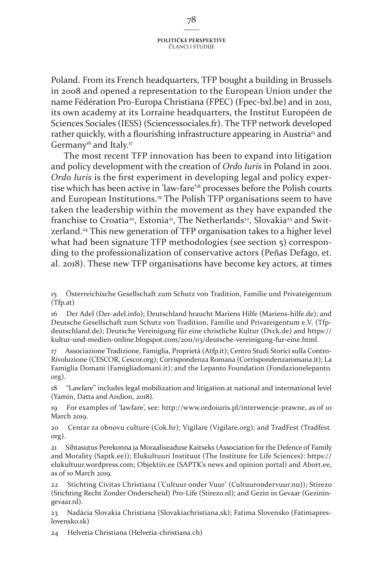Poland. From its French headquarters, TFP bought a building in Brussels in 2008 and opened a representation to the European Union under the name Fédération Pro-Europa Christiana (FPEC) (Fpec-bxl.be) and in 2011, its own academy at its Lorraine headquarters, the Institut Européen de Sciences Sociales (IESS) (Sciencessociales.fr). The TFP network developed rather quickly, with a flourishing infrastructure appearing in Austria<sup>15</sup> and Germany<sup>16</sup> and Italy.<sup>17</sup>

The most recent TFP innovation has been to expand into litigation and policy development with the creation of *Ordo Iuris* in Poland in 2001. *Ordo Iuris* is the first experiment in developing legal and policy expertise which has been active in 'law-fare'<sup>18</sup> processes before the Polish courts and European Institutions.<sup>19</sup> The Polish TFP organisations seem to have taken the leadership within the movement as they have expanded the franchise to Croatia<sup>20</sup>, Estonia<sup>21</sup>, The Netherlands<sup>22</sup>, Slovakia<sup>23</sup> and Switzerland.<sup>24</sup> This new generation of TFP organisation takes to a higher level what had been signature TFP methodologies (see section 5) corresponding to the professionalization of conservative actors (Peñas Defago, et. al. 2018). These new TFP organisations have become key actors, at times

15 Österreichische Gesellschaft zum Schutz von Tradition, Familie und Privateigentum (Tfp.at)

16 Der Adel (Der-adel.info); Deutschland braucht Mariens Hilfe (Mariens-hilfe.de); and Deutsche Gesellschaft zum Schutz von Tradition, Familie und Privateigentum e.V. (Tfpdeutschland.de); Deutsche Vereinigung für eine christliche Kultur (Dvck.de) and https:// kultur-und-medien-online.blogspot.com/2011/03/deutsche-vereinigung-fur-eine.html.

17 Associazione Tradizione, Famiglia, Proprietà (Atfp.it); Centro Studi Storici sulla Contro-Rivoluzione (CESCOR, Cescor.org); Corrispondenza Romana (Corrispondenzaromana.it); La Famiglia Domani (Famigliadomani.it); and the Lepanto Foundation (Fondazionelepanto. org).

18 "Lawfare" includes legal mobilization and litigation at national and international level (Yamin, Datta and Andion, 2018).

19 For examples of 'lawfare', see: http://www.ordoiuris.pl/interwencje-prawne, as of 10 March 2019.

20 Centar za obnovu culture (Cok.hr); Vigilare (Vigilare.org); and TradFest (Tradfest. org).

21 Sihtasutus Perekonna ja Moraaliseaduse Kaitseks (Association for the Defence of Family and Morality (Saptk.ee)); Elukultuuri Instituut (The Institute for Life Sciences): https:// elukultuur.wordpress.com; Objektiiv.ee (SAPTK's news and opinion portal) and Abort.ee, as of 10 March 2019.

22 Stichting Civitas Christiana ('Cultuur onder Vuur' (Cultuurondervuur.nu)); Stirezo (Stichting Recht Zonder Onderscheid) Pro-Life (Stirezo.nl); and Gezin in Gevaar (Geziningevaar.nl).

23 Nadácia Slovakia Christiana (Slovakiachristiana.sk); Fatima Slovensko (Fatimapreslovensko.sk)

24 Helvetia Christiana (Helvetia-christiana.ch)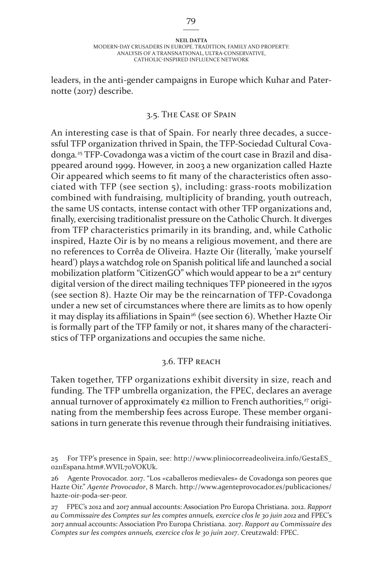#### **Neil Datta** Modern-day Crusaders in Europe. Tradition, Family and Property: analysis of a transnational, ultra-conservative, Catholic-inspired influence network

leaders, in the anti-gender campaigns in Europe which Kuhar and Paternotte (2017) describe.

# 3.5. The Case of Spain

An interesting case is that of Spain. For nearly three decades, a successful TFP organization thrived in Spain, the TFP-Sociedad Cultural Covadonga*.* <sup>25</sup> TFP-Covadonga was a victim of the court case in Brazil and disappeared around 1999. However, in 2003 a new organization called Hazte Oir appeared which seems to fit many of the characteristics often associated with TFP (see section 5), including: grass-roots mobilization combined with fundraising, multiplicity of branding, youth outreach, the same US contacts, intense contact with other TFP organizations and, finally, exercising traditionalist pressure on the Catholic Church. It diverges from TFP characteristics primarily in its branding, and, while Catholic inspired, Hazte Oir is by no means a religious movement, and there are no references to Corrêa de Oliveira. Hazte Oir (literally, 'make yourself heard') plays a watchdog role on Spanish political life and launched a social mobilization platform "CitizenGO" which would appear to be a 21<sup>st</sup> century digital version of the direct mailing techniques TFP pioneered in the 1970s (see section 8). Hazte Oir may be the reincarnation of TFP-Covadonga under a new set of circumstances where there are limits as to how openly it may display its affiliations in Spain<sup>26</sup> (see section 6). Whether Hazte Oir is formally part of the TFP family or not, it shares many of the characteristics of TFP organizations and occupies the same niche.

### 3.6. TFP reach

Taken together, TFP organizations exhibit diversity in size, reach and funding. The TFP umbrella organization, the FPEC, declares an average annual turnover of approximately  $\varepsilon$ 2 million to French authorities,<sup>27</sup> originating from the membership fees across Europe. These member organisations in turn generate this revenue through their fundraising initiatives.

25 For TFP's presence in Spain, see: http://www.pliniocorreadeoliveira.info/GestaES\_ 0211Espana.htm#.WVIL7oVOKUk.

26 Agente Provocador. 2017. "Los «caballeros medievales» de Covadonga son peores que Hazte Oír." *Agente Provocador*, 8 March. http://www.agenteprovocador.es/publicaciones/ hazte-oir-poda-ser-peor.

27 FPEC's 2012 and 2017 annual accounts: Association Pro Europa Christiana. 2012. *Rapport au Commissaire des Comptes sur les comptes annuels, exercice clos le 30 juin 2012* and FPEC's 2017 annual accounts: Association Pro Europa Christiana. 2017. *Rapport au Commissaire des Comptes sur les comptes annuels, exercice clos le 30 juin 2017*. Creutzwald: FPEC.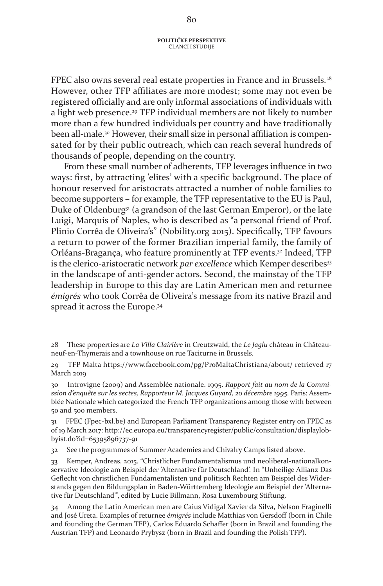FPEC also owns several real estate properties in France and in Brussels.<sup>28</sup> However, other TFP affiliates are more modest; some may not even be registered officially and are only informal associations of individuals with a light web presence.<sup>29</sup> TFP individual members are not likely to number more than a few hundred individuals per country and have traditionally been all-male.<sup>30</sup> However, their small size in personal affiliation is compensated for by their public outreach, which can reach several hundreds of thousands of people, depending on the country.

From these small number of adherents, TFP leverages influence in two ways: first, by attracting 'elites' with a specific background. The place of honour reserved for aristocrats attracted a number of noble families to become supporters – for example, the TFP representative to the EU is Paul, Duke of Oldenburg<sup>31</sup> (a grandson of the last German Emperor), or the late Luigi, Marquis of Naples, who is described as "a personal friend of Prof. Plinio Corrêa de Oliveira's" (Nobility.org 2015). Specifically, TFP favours a return to power of the former Brazilian imperial family, the family of Orléans-Bragança, who feature prominently at TFP events.<sup>32</sup> Indeed, TFP is the clerico-aristocratic network *par excellence* which Kemper describes<sup>33</sup> in the landscape of anti-gender actors. Second, the mainstay of the TFP leadership in Europe to this day are Latin American men and returnee *émigrés* who took Corrêa de Oliveira's message from its native Brazil and spread it across the Europe.<sup>34</sup>

28 These properties are *La Villa Clairière* in Creutzwald, the *Le Jaglu* château in Châteauneuf-en-Thymerais and a townhouse on rue Taciturne in Brussels.

29 TFP Malta https://www.facebook.com/pg/ProMaltaChristiana/about/ retrieved 17 March 2019

30 Introvigne (2009) and Assemblée nationale. 1995. *Rapport fait au nom de la Commission d'enquête sur les sectes, Rapporteur M. Jacques Guyard, 20 décembre 1995*. Paris: Assemblée Nationale which categorized the French TFP organizations among those with between 50 and 500 members.

31 FPEC (Fpec-bxl.be) and European Parliament Transparency Register entry on FPEC as of 19 March 2017: http://ec.europa.eu/transparencyregister/public/consultation/displaylobbyist.do?id=65395896737-91

32 See the programmes of Summer Academies and Chivalry Camps listed above.

33 Kemper, Andreas. 2015. "Christlicher Fundamentalismus und neoliberal-nationalkonservative Ideologie am Beispiel der 'Alternative für Deutschland'. in "Unheilige Allianz Das Geflecht von christlichen Fundamentalisten und politisch Rechten am Beispiel des Widerstands gegen den Bildungsplan in Baden-Württemberg Ideologie am Beispiel der 'Alternative für Deutschland'", edited by Lucie Billmann, Rosa Luxembourg Stiftung.

34 Among the Latin American men are Caius Vidigal Xavier da Silva, Nelson Fraginelli and José Ureta. Examples of returnee *émigrés* include Matthias von Gersdoff (born in Chile and founding the German TFP), Carlos Eduardo Schaffer (born in Brazil and founding the Austrian TFP) and Leonardo Prybysz (born in Brazil and founding the Polish TFP).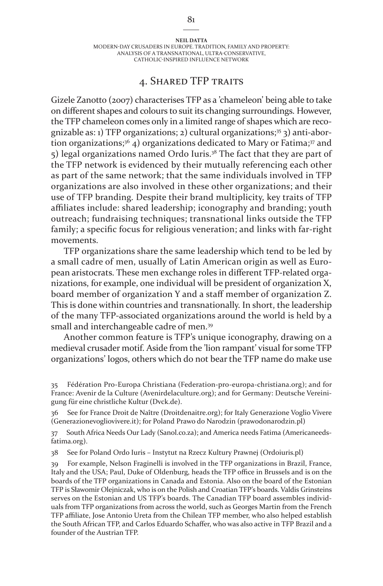# 4. Shared TFP traits

Gizele Zanotto (2007) characterises TFP as a 'chameleon' being able to take on different shapes and colours to suit its changing surroundings. However, the TFP chameleon comes only in a limited range of shapes which are recognizable as: 1) TFP organizations; 2) cultural organizations;35 3) anti-abortion organizations;<sup>36</sup> 4) organizations dedicated to Mary or Fatima;<sup>37</sup> and  $5$ ) legal organizations named Ordo Iuris.<sup>38</sup> The fact that they are part of the TFP network is evidenced by their mutually referencing each other as part of the same network; that the same individuals involved in TFP organizations are also involved in these other organizations; and their use of TFP branding. Despite their brand multiplicity, key traits of TFP affiliates include: shared leadership; iconography and branding; youth outreach; fundraising techniques; transnational links outside the TFP family; a specific focus for religious veneration; and links with far-right movements.

TFP organizations share the same leadership which tend to be led by a small cadre of men, usually of Latin American origin as well as European aristocrats. These men exchange roles in different TFP-related organizations, for example, one individual will be president of organization X, board member of organization Y and a staff member of organization Z. This is done within countries and transnationally. In short, the leadership of the many TFP-associated organizations around the world is held by a small and interchangeable cadre of men.<sup>39</sup>

Another common feature is TFP's unique iconography, drawing on a medieval crusader motif. Aside from the 'lion rampant' visual for some TFP organizations' logos, others which do not bear the TFP name do make use

South Africa Needs Our Lady (Sanol.co.za); and America needs Fatima (Americaneedsfatima.org).

38 See for Poland Ordo Iuris – Instytut na Rzecz Kultury Prawnej (Ordoiuris.pl)

39 For example, Nelson Fraginelli is involved in the TFP organizations in Brazil, France, Italy and the USA; Paul, Duke of Oldenburg, heads the TFP office in Brussels and is on the boards of the TFP organizations in Canada and Estonia. Also on the board of the Estonian TFP is Sławomir Olejniczak, who is on the Polish and Croatian TFP's boards. Valdis Grinsteins serves on the Estonian and US TFP's boards. The Canadian TFP board assembles individuals from TFP organizations from across the world, such as Georges Martin from the French TFP affiliate, Jose Antonio Ureta from the Chilean TFP member, who also helped establish the South African TFP, and Carlos Eduardo Schaffer, who was also active in TFP Brazil and a founder of the Austrian TFP.

<sup>35</sup> Fédération Pro-Europa Christiana (Federation-pro-europa-christiana.org); and for France: Avenir de la Culture (Avenirdelaculture.org); and for Germany: Deutsche Vereinigung für eine christliche Kultur (Dvck.de).

<sup>36</sup> See for France Droit de Naître (Droitdenaitre.org); for Italy Generazione Voglio Vivere (Generazionevogliovivere.it); for Poland Prawo do Narodzin (prawodonarodzin.pl)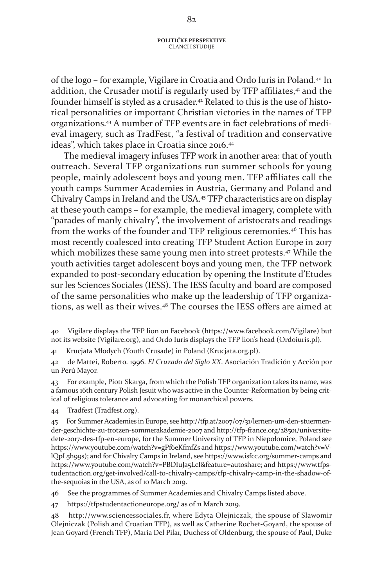of the logo – for example, Vigilare in Croatia and Ordo Iuris in Poland.40 In addition, the Crusader motif is regularly used by TFP affiliates,<sup>41</sup> and the founder himself is styled as a crusader.<sup>42</sup> Related to this is the use of historical personalities or important Christian victories in the names of TFP organizations.43 A number of TFP events are in fact celebrations of medieval imagery, such as TradFest, "a festival of tradition and conservative ideas", which takes place in Croatia since 2016.<sup>44</sup>

The medieval imagery infuses TFP work in another area: that of youth outreach. Several TFP organizations run summer schools for young people, mainly adolescent boys and young men. TFP affiliates call the youth camps Summer Academies in Austria, Germany and Poland and Chivalry Camps in Ireland and the USA. <sup>45</sup> TFP characteristics are on display at these youth camps – for example, the medieval imagery, complete with "parades of manly chivalry", the involvement of aristocrats and readings from the works of the founder and TFP religious ceremonies.<sup>46</sup> This has most recently coalesced into creating TFP Student Action Europe in 2017 which mobilizes these same young men into street protests.<sup>47</sup> While the youth activities target adolescent boys and young men, the TFP network expanded to post-secondary education by opening the Institute d'Etudes sur les Sciences Sociales (IESS). The IESS faculty and board are composed of the same personalities who make up the leadership of TFP organizations, as well as their wives.<sup>48</sup> The courses the IESS offers are aimed at

40 Vigilare displays the TFP lion on Facebook (https://www.facebook.com/Vigilare) but not its website (Vigilare.org), and Ordo Iuris displays the TFP lion's head (Ordoiuris.pl).

41 Krucjata Młodych (Youth Crusade) in Poland (Krucjata.org.pl).

42 de Mattei, Roberto. 1996. *El Cruzado del Siglo XX*. Asociación Tradición y Acción por un Perú Mayor.

43 For example, Piotr Skarga, from which the Polish TFP organization takes its name, was a famous 16th century Polish Jesuit who was active in the Counter-Reformation by being critical of religious tolerance and advocating for monarchical powers.

44 Tradfest (Tradfest.org).

45 For Summer Academies in Europe, see http://tfp.at/2007/07/31/lernen-um-den-stuermender-geschichte-zu-trotzen-sommerakademie-2007 and http://tfp-france.org/28501/universitedete-2017-des-tfp-en-europe, for the Summer University of TFP in Niepołomice, Poland see https://www.youtube.com/watch?v=gPf6eKfmfZs and https://www.youtube.com/watch?v=VlQpL5h99s); and for Chivalry Camps in Ireland, see https://www.isfcc.org/summer-camps and https://www.youtube.com/watch?v=PBDIuJa5LcI&feature=autoshare; and https://www.tfpstudentaction.org/get-involved/call-to-chivalry-camps/tfp-chivalry-camp-in-the-shadow-ofthe-sequoias in the USA, as of 10 March 2019.

46 See the programmes of Summer Academies and Chivalry Camps listed above.

47 https://tfpstudentactioneurope.org/ as of 11 March 2019.

48 http://www.sciencessociales.fr, where Edyta Olejniczak, the spouse of Sławomir Olejniczak (Polish and Croatian TFP), as well as Catherine Rochet-Goyard, the spouse of Jean Goyard (French TFP), Maria Del Pilar, Duchess of Oldenburg, the spouse of Paul, Duke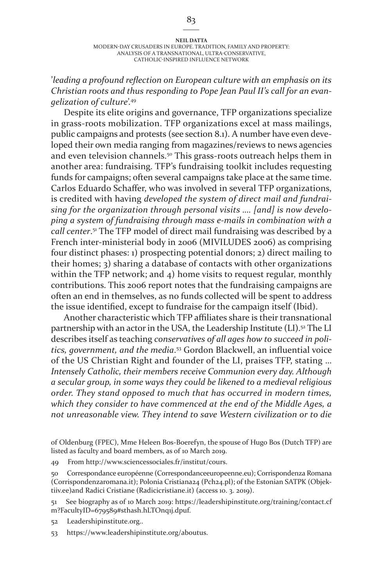'*leading a profound reflection on European culture with an emphasis on its Christian roots and thus responding to Pope Jean Paul II's call for an evangelization of culture*'.49

Despite its elite origins and governance, TFP organizations specialize in grass-roots mobilization. TFP organizations excel at mass mailings, public campaigns and protests (see section 8.1). A number have even developed their own media ranging from magazines/reviews to news agencies and even television channels.<sup>50</sup> This grass-roots outreach helps them in another area: fundraising. TFP's fundraising toolkit includes requesting funds for campaigns; often several campaigns take place at the same time. Carlos Eduardo Schaffer, who was involved in several TFP organizations, is credited with having *developed the system of direct mail and fundraising for the organization through personal visits …. [and] is now developing a system of fundraising through mass e-mails in combination with a call center*. <sup>51</sup> The TFP model of direct mail fundraising was described by a French inter-ministerial body in 2006 (MIVILUDES 2006) as comprising four distinct phases: 1) prospecting potential donors; 2) direct mailing to their homes; 3) sharing a database of contacts with other organizations within the TFP network; and 4) home visits to request regular, monthly contributions. This 2006 report notes that the fundraising campaigns are often an end in themselves, as no funds collected will be spent to address the issue identified, except to fundraise for the campaign itself (Ibid).

Another characteristic which TFP affiliates share is their transnational partnership with an actor in the USA, the Leadership Institute (LI).<sup>52</sup> The LI describes itself as teaching *conservatives of all ages how to succeed in politics, government, and the media*. 53 Gordon Blackwell, an influential voice of the US Christian Right and founder of the LI, praises TFP, stating … *Intensely Catholic, their members receive Communion every day. Although a secular group, in some ways they could be likened to a medieval religious order. They stand opposed to much that has occurred in modern times, which they consider to have commenced at the end of the Middle Ages, a not unreasonable view. They intend to save Western civilization or to die* 

- 52 Leadershipinstitute.org..
- 53 https://www.leadershipinstitute.org/aboutus.

of Oldenburg (FPEC), Mme Heleen Bos-Boerefyn, the spouse of Hugo Bos (Dutch TFP) are listed as faculty and board members, as of 10 March 2019.

<sup>49</sup> From http://www.sciencessociales.fr/institut/cours.

<sup>50</sup> Correspondance européenne (Correspondanceeuropeenne.eu); Corrispondenza Romana (Corrispondenzaromana.it); Polonia Cristiana24 (Pch24.pl); of the Estonian SATPK (Objektiiv.ee)and Radici Cristiane (Radicicristiane.it) (access 10. 3. 2019).

<sup>51</sup> See biography as of 10 March 2019: https://leadershipinstitute.org/training/contact.cf m?FacultyID=679589#sthash.hLTOnq1j.dpuf.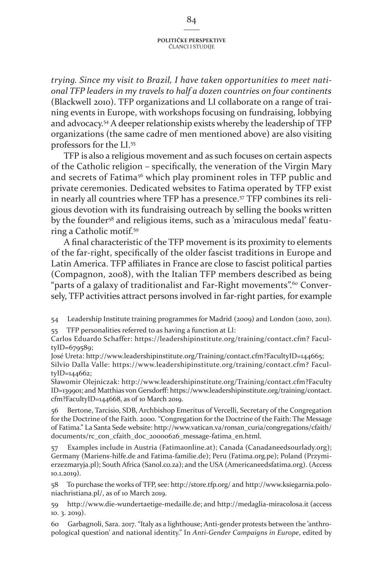*trying. Since my visit to Brazil, I have taken opportunities to meet national TFP leaders in my travels to half a dozen countries on four continents* (Blackwell 2010). TFP organizations and LI collaborate on a range of training events in Europe, with workshops focusing on fundraising, lobbying and advocacy.54 A deeper relationship exists whereby the leadership of TFP organizations (the same cadre of men mentioned above) are also visiting professors for the LI.55

TFP is also a religious movement and as such focuses on certain aspects of the Catholic religion – specifically, the veneration of the Virgin Mary and secrets of Fatima<sup>56</sup> which play prominent roles in TFP public and private ceremonies. Dedicated websites to Fatima operated by TFP exist in nearly all countries where TFP has a presence.<sup>57</sup> TFP combines its religious devotion with its fundraising outreach by selling the books written by the founder<sup>58</sup> and religious items, such as a 'miraculous medal' featuring a Catholic motif.59

A final characteristic of the TFP movement is its proximity to elements of the far-right, specifically of the older fascist traditions in Europe and Latin America. TFP affiliates in France are close to fascist political parties (Compagnon, 2008), with the Italian TFP members described as being "parts of a galaxy of traditionalist and Far-Right movements".<sup>60</sup> Conversely, TFP activities attract persons involved in far-right parties, for example

54 Leadership Institute training programmes for Madrid (2009) and London (2010, 2011). 55 TFP personalities referred to as having a function at LI:

Carlos Eduardo Schaffer: https://leadershipinstitute.org/training/contact.cfm? FacultyID=679589;

José Ureta: http://www.leadershipinstitute.org/Training/contact.cfm?FacultyID=144665;

Silvio Dalla Valle: https://www.leadershipinstitute.org/training/contact.cfm? FacultyID=144662;

Sławomir Olejniczak: http://www.leadershipinstitute.org/Training/contact.cfm?Faculty ID=139901; and Matthias von Gersdorff: https://www.leadershipinstitute.org/training/contact. cfm?FacultyID=144668, as of 10 March 2019.

56 Bertone, Tarcisio, SDB, Archbishop Emeritus of Vercelli, Secretary of the Congregation for the Doctrine of the Faith. 2000. "Congregation for the Doctrine of the Faith: The Message of Fatima." La Santa Sede website: http://www.vatican.va/roman\_curia/congregations/cfaith/ documents/rc\_con\_cfaith\_doc\_20000626\_message-fatima\_en.html.

57 Examples include in Austria (Fatimaonline.at); Canada (Canadaneedsourlady.org); Germany (Mariens-hilfe.de and Fatima-familie.de); Peru (Fatima.org.pe); Poland (Przymierzezmaryja.pl); South Africa (Sanol.co.za); and the USA (Americaneedsfatima.org). (Access 10.1.2019).

58 To purchase the works of TFP, see: http://store.tfp.org/ and http://www.ksiegarnia.poloniachristiana.pl/, as of 10 March 2019.

59 http://www.die-wundertaetige-medaille.de; and http://medaglia-miracolosa.it (access 10. 3. 2019).

60 Garbagnoli, Sara. 2017. "Italy as a lighthouse; Anti-gender protests between the 'anthropological question' and national identity." In *Anti-Gender Campaigns in Europe*, edited by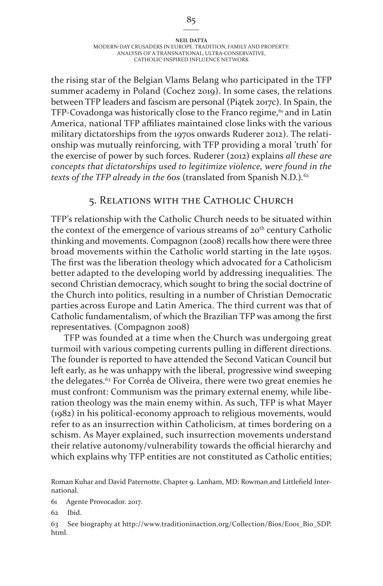#### **Neil Datta** Modern-day Crusaders in Europe. Tradition, Family and Property: analysis of a transnational, ultra-conservative, Catholic-inspired influence network

the rising star of the Belgian Vlams Belang who participated in the TFP summer academy in Poland (Cochez 2019). In some cases, the relations between TFP leaders and fascism are personal (Piątek 2017c). In Spain, the TFP-Covadonga was historically close to the Franco regime,<sup>61</sup> and in Latin America, national TFP affiliates maintained close links with the various military dictatorships from the 1970s onwards Ruderer 2012). The relationship was mutually reinforcing, with TFP providing a moral 'truth' for the exercise of power by such forces. Ruderer (2012) explains *all these are concepts that dictatorships used to legitimize violence, were found in the texts of the TFP already in the 60s* (translated from Spanish N.D.)*.* 62

# 5. Relations with the Catholic Church

TFP's relationship with the Catholic Church needs to be situated within the context of the emergence of various streams of 20<sup>th</sup> century Catholic thinking and movements. Compagnon (2008) recalls how there were three broad movements within the Catholic world starting in the late 1950s. The first was the liberation theology which advocated for a Catholicism better adapted to the developing world by addressing inequalities. The second Christian democracy, which sought to bring the social doctrine of the Church into politics, resulting in a number of Christian Democratic parties across Europe and Latin America. The third current was that of Catholic fundamentalism, of which the Brazilian TFP was among the first representatives. (Compagnon 2008)

TFP was founded at a time when the Church was undergoing great turmoil with various competing currents pulling in different directions. The founder is reported to have attended the Second Vatican Council but left early, as he was unhappy with the liberal, progressive wind sweeping the delegates.<sup>63</sup> For Corrêa de Oliveira, there were two great enemies he must confront: Communism was the primary external enemy, while liberation theology was the main enemy within. As such, TFP is what Mayer (1982) in his political-economy approach to religious movements, would refer to as an insurrection within Catholicism, at times bordering on a schism. As Mayer explained, such insurrection movements understand their relative autonomy/vulnerability towards the official hierarchy and which explains why TFP entities are not constituted as Catholic entities;

Roman Kuhar and David Paternotte, Chapter 9. Lanham, MD: Rowman and Littlefield International.

61 Agente Provocador. 2017.

62 Ibid.

63 See biography at http://www.traditioninaction.org/Collection/Bios/E001\_Bio\_SDP. html.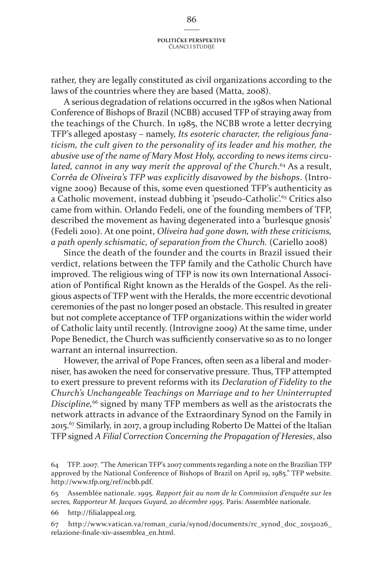rather, they are legally constituted as civil organizations according to the laws of the countries where they are based (Matta, 2008).

A serious degradation of relations occurred in the 1980s when National Conference of Bishops of Brazil (NCBB) accused TFP of straying away from the teachings of the Church. In 1985, the NCBB wrote a letter decrying TFP's alleged apostasy – namely, *Its esoteric character, the religious fanaticism, the cult given to the personality of its leader and his mother, the abusive use of the name of Mary Most Holy, according to news items circu*lated, cannot in any way merit the approval of the Church.<sup>64</sup> As a result, *Corrêa de Oliveira's TFP was explicitly disavowed by the bishops*. (Introvigne 2009) Because of this, some even questioned TFP's authenticity as a Catholic movement, instead dubbing it 'pseudo-Catholic'.<sup>65</sup> Critics also came from within. Orlando Fedeli, one of the founding members of TFP, described the movement as having degenerated into a 'burlesque gnosis' (Fedeli 2010). At one point, *Oliveira had gone down, with these criticisms, a path openly schismatic, of separation from the Church.* (Cariello 2008)

Since the death of the founder and the courts in Brazil issued their verdict, relations between the TFP family and the Catholic Church have improved. The religious wing of TFP is now its own International Association of Pontifical Right known as the Heralds of the Gospel. As the religious aspects of TFP went with the Heralds, the more eccentric devotional ceremonies of the past no longer posed an obstacle. This resulted in greater but not complete acceptance of TFP organizations within the wider world of Catholic laity until recently. (Introvigne 2009) At the same time, under Pope Benedict, the Church was sufficiently conservative so as to no longer warrant an internal insurrection.

However, the arrival of Pope Frances, often seen as a liberal and moderniser, has awoken the need for conservative pressure. Thus, TFP attempted to exert pressure to prevent reforms with its *Declaration of Fidelity to the Church's Unchangeable Teachings on Marriage and to her Uninterrupted Discipline,*66 signed by many TFP members as well as the aristocrats the network attracts in advance of the Extraordinary Synod on the Family in  $2015.67$  Similarly, in  $2017$ , a group including Roberto De Mattei of the Italian TFP signed *A Filial Correction Concerning the Propagation of Heresies*, also

66 http://filialappeal.org.

<sup>64</sup> TFP. 2007. "The American TFP's 2007 comments regarding a note on the Brazilian TFP approved by the National Conference of Bishops of Brazil on April 19, 1985." TFP website. http://www.tfp.org/ref/ncbb.pdf.

<sup>65</sup> Assemblée nationale. 1995. *Rapport fait au nom de la Commission d'enquête sur les sectes, Rapporteur M. Jacques Guyard, 20 décembre 1995*. Paris: Assemblée nationale.

<sup>67</sup> http://www.vatican.va/roman\_curia/synod/documents/rc\_synod\_doc\_20151026\_ relazione-finale-xiv-assemblea\_en.html.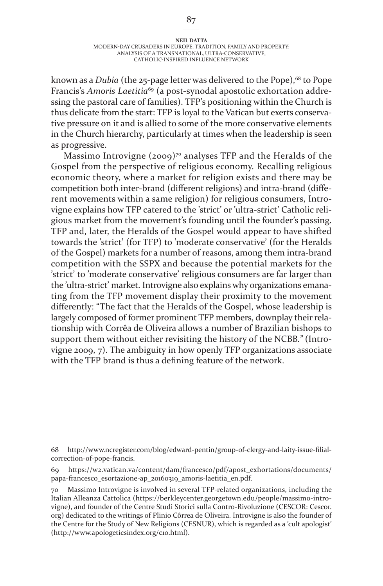#### **Neil Datta** Modern-day Crusaders in Europe. Tradition, Family and Property: analysis of a transnational, ultra-conservative, Catholic-inspired influence network

known as a *Dubig* (the 25-page letter was delivered to the Pope), <sup>68</sup> to Pope Francis's *Amoris Laetitia*<sup>69</sup> (a post-synodal apostolic exhortation addressing the pastoral care of families). TFP's positioning within the Church is thus delicate from the start: TFP is loyal to the Vatican but exerts conservative pressure on it and is allied to some of the more conservative elements in the Church hierarchy, particularly at times when the leadership is seen as progressive.

Massimo Introvigne  $(2009)$ <sup>70</sup> analyses TFP and the Heralds of the Gospel from the perspective of religious economy. Recalling religious economic theory, where a market for religion exists and there may be competition both inter-brand (different religions) and intra-brand (different movements within a same religion) for religious consumers, Introvigne explains how TFP catered to the 'strict' or 'ultra-strict' Catholic religious market from the movement's founding until the founder's passing. TFP and, later, the Heralds of the Gospel would appear to have shifted towards the 'strict' (for TFP) to 'moderate conservative' (for the Heralds of the Gospel) markets for a number of reasons, among them intra-brand competition with the SSPX and because the potential markets for the 'strict' to 'moderate conservative' religious consumers are far larger than the 'ultra-strict' market. Introvigne also explains why organizations emanating from the TFP movement display their proximity to the movement differently: "The fact that the Heralds of the Gospel, whose leadership is largely composed of former prominent TFP members, downplay their relationship with Corrêa de Oliveira allows a number of Brazilian bishops to support them without either revisiting the history of the NCBB*."* (Introvigne 2009, 7). The ambiguity in how openly TFP organizations associate with the TFP brand is thus a defining feature of the network.

68 http://www.ncregister.com/blog/edward-pentin/group-of-clergy-and-laity-issue-filialcorrection-of-pope-francis.

69 https://w2.vatican.va/content/dam/francesco/pdf/apost\_exhortations/documents/ papa-francesco\_esortazione-ap\_20160319\_amoris-laetitia\_en.pdf.

70 Massimo Introvigne is involved in several TFP-related organizations, including the Italian Alleanza Cattolica (https://berkleycenter.georgetown.edu/people/massimo-introvigne), and founder of the Centre Studi Storici sulla Contro-Rivoluzione (CESCOR: Cescor. org) dedicated to the writings of Plinio Côrrea de Oliveira. Introvigne is also the founder of the Centre for the Study of New Religions (CESNUR), which is regarded as a 'cult apologist' (http://www.apologeticsindex.org/c10.html).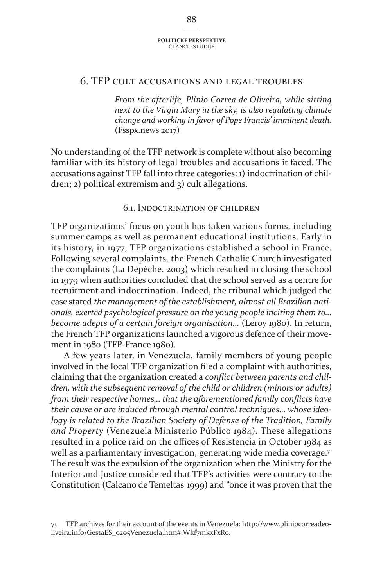# 6. TFP cult accusations and legal troubles

*From the afterlife, Plinio Correa de Oliveira, while sitting next to the Virgin Mary in the sky, is also regulating climate change and working in favor of Pope Francis' imminent death.* (Fsspx.news 2017)

No understanding of the TFP network is complete without also becoming familiar with its history of legal troubles and accusations it faced. The accusations against TFP fall into three categories: 1) indoctrination of children; 2) political extremism and 3) cult allegations.

### 6.1. Indoctrination of children

TFP organizations' focus on youth has taken various forms, including summer camps as well as permanent educational institutions. Early in its history, in 1977, TFP organizations established a school in France. Following several complaints, the French Catholic Church investigated the complaints (La Depèche. 2003) which resulted in closing the school in 1979 when authorities concluded that the school served as a centre for recruitment and indoctrination. Indeed, the tribunal which judged the case stated *the management of the establishment, almost all Brazilian nationals, exerted psychological pressure on the young people inciting them to… become adepts of a certain foreign organisation…* (Leroy 1980). In return, the French TFP organizations launched a vigorous defence of their movement in 1980 (TFP-France 1980).

A few years later, in Venezuela, family members of young people involved in the local TFP organization filed a complaint with authorities, claiming that the organization created a *conflict between parents and children, with the subsequent removal of the child or children (minors or adults) from their respective homes… that the aforementioned family conflicts have their cause or are induced through mental control techniques… whose ideology is related to the Brazilian Society of Defense of the Tradition, Family and Property* (Venezuela Ministerio Público 1984). These allegations resulted in a police raid on the offices of Resistencia in October 1984 as well as a parliamentary investigation, generating wide media coverage.<sup>71</sup> The result was the expulsion of the organization when the Ministry for the Interior and Justice considered that TFP's activities were contrary to the Constitution (Calcano de Temeltas 1999) and "once it was proven that the

<sup>71</sup> TFP archives for their account of the events in Venezuela: http://www.pliniocorreadeoliveira.info/GestaES\_0205Venezuela.htm#.Wkf7mkxFxRo.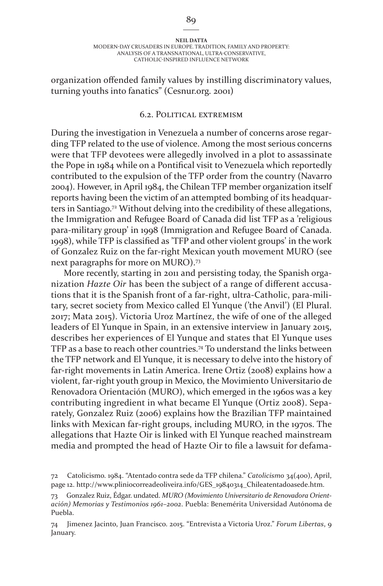organization offended family values by instilling discriminatory values, turning youths into fanatics" (Cesnur.org. 2001)

### 6.2. Political extremism

During the investigation in Venezuela a number of concerns arose regarding TFP related to the use of violence. Among the most serious concerns were that TFP devotees were allegedly involved in a plot to assassinate the Pope in 1984 while on a Pontifical visit to Venezuela which reportedly contributed to the expulsion of the TFP order from the country (Navarro 2004). However, in April 1984, the Chilean TFP member organization itself reports having been the victim of an attempted bombing of its headquarters in Santiago.<sup>72</sup> Without delving into the credibility of these allegations, the Immigration and Refugee Board of Canada did list TFP as a 'religious para-military group' in 1998 (Immigration and Refugee Board of Canada. 1998), while TFP is classified as 'TFP and other violent groups' in the work of Gonzalez Ruiz on the far-right Mexican youth movement MURO (see next paragraphs for more on MURO).73

More recently, starting in 2011 and persisting today, the Spanish organization *Hazte Oir* has been the subject of a range of different accusations that it is the Spanish front of a far-right, ultra-Catholic, para-military, secret society from Mexico called El Yunque ('the Anvil') (El Plural. 2017; Mata 2015). Victoria Uroz Martínez, the wife of one of the alleged leaders of El Yunque in Spain, in an extensive interview in January 2015, describes her experiences of El Yunque and states that El Yunque uses TFP as a base to reach other countries.74 To understand the links between the TFP network and El Yunque, it is necessary to delve into the history of far-right movements in Latin America. Irene Ortiz (2008) explains how a violent, far-right youth group in Mexico, the Movimiento Universitario de Renovadora Orientación (MURO), which emerged in the 1960s was a key contributing ingredient in what became El Yunque (Ortiz 2008). Separately, Gonzalez Ruiz (2006) explains how the Brazilian TFP maintained links with Mexican far-right groups, including MURO, in the 1970s. The allegations that Hazte Oir is linked with El Yunque reached mainstream media and prompted the head of Hazte Oir to file a lawsuit for defama-

<sup>72</sup> Catolicismo. 1984. "Atentado contra sede da TFP chilena." *Catolicismo* 34(400), April, page 12. http://www.pliniocorreadeoliveira.info/GES\_19840314\_Chileatentadoasede.htm.

<sup>73</sup> Gonzalez Ruiz, Édgar. undated. *MURO (Movimiento Universitario de Renovadora Orientación) Memorias y Testimonios 1961–2002*. Puebla: Benemérita Universidad Autónoma de Puebla.

<sup>74</sup> Jimenez Jacinto, Juan Francisco. 2015. "Entrevista a Victoria Uroz." *Forum Libertas*, 9 January.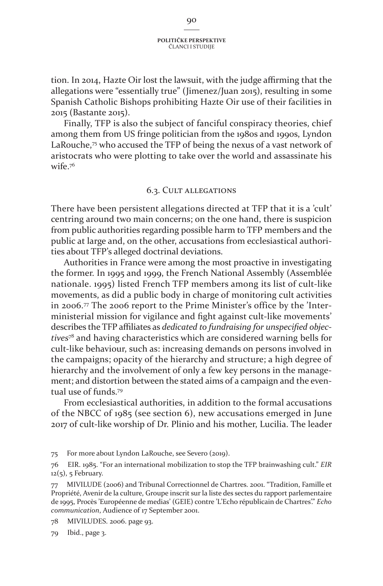tion. In 2014, Hazte Oir lost the lawsuit, with the judge affirming that the allegations were "essentially true" (Jimenez/Juan 2015), resulting in some Spanish Catholic Bishops prohibiting Hazte Oir use of their facilities in 2015 (Bastante 2015).

Finally, TFP is also the subject of fanciful conspiracy theories, chief among them from US fringe politician from the 1980s and 1990s, Lyndon LaRouche,<sup>75</sup> who accused the TFP of being the nexus of a vast network of aristocrats who were plotting to take over the world and assassinate his wife.76

### 6.3. Cult allegations

There have been persistent allegations directed at TFP that it is a 'cult' centring around two main concerns; on the one hand, there is suspicion from public authorities regarding possible harm to TFP members and the public at large and, on the other, accusations from ecclesiastical authorities about TFP's alleged doctrinal deviations.

Authorities in France were among the most proactive in investigating the former. In 1995 and 1999, the French National Assembly (Assemblée nationale. 1995) listed French TFP members among its list of cult-like movements, as did a public body in charge of monitoring cult activities in 2006.77 The 2006 report to the Prime Minister's office by the 'Interministerial mission for vigilance and fight against cult-like movements' describes the TFP affiliates as *dedicated to fundraising for unspecified objectives*78 and having characteristics which are considered warning bells for cult-like behaviour, such as: increasing demands on persons involved in the campaigns; opacity of the hierarchy and structure; a high degree of hierarchy and the involvement of only a few key persons in the management; and distortion between the stated aims of a campaign and the eventual use of funds<sup>79</sup>

From ecclesiastical authorities, in addition to the formal accusations of the NBCC of 1985 (see section 6), new accusations emerged in June 2017 of cult-like worship of Dr. Plinio and his mother, Lucilia. The leader

75 For more about Lyndon LaRouche, see Severo (2019).

76 EIR. 1985. "For an international mobilization to stop the TFP brainwashing cult." *EIR*  $12(5)$ , 5 February.

77 MIVILUDE (2006) and Tribunal Correctionnel de Chartres. 2001. "Tradition, Famille et Propriété, Avenir de la culture, Groupe inscrit sur la liste des sectes du rapport parlementaire de 1995, Procès 'Européenne de medias' (GEIE) contre 'L'Echo républicain de Chartres'." *Echo communication*, Audience of 17 September 2001.

78 MIVILUDES. 2006. page 93.

79 Ibid., page 3.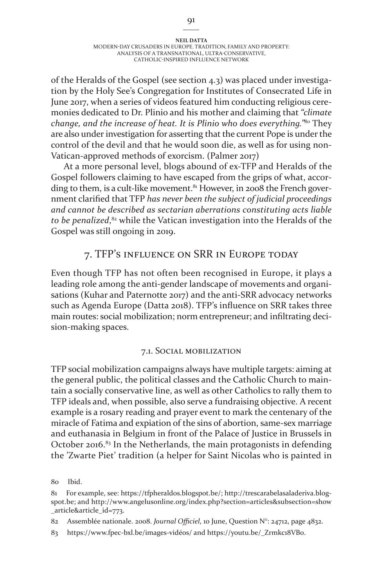of the Heralds of the Gospel (see section 4.3) was placed under investigation by the Holy See's Congregation for Institutes of Consecrated Life in June 2017, when a series of videos featured him conducting religious ceremonies dedicated to Dr. Plinio and his mother and claiming that *"climate change, and the increase of heat. It is Plinio who does everything."*<sup>80</sup> They are also under investigation for asserting that the current Pope is under the control of the devil and that he would soon die, as well as for using non-Vatican-approved methods of exorcism. (Palmer 2017)

At a more personal level, blogs abound of ex-TFP and Heralds of the Gospel followers claiming to have escaped from the grips of what, according to them, is a cult-like movement.<sup>81</sup> However, in 2008 the French government clarified that TFP *has never been the subject of judicial proceedings and cannot be described as sectarian aberrations constituting acts liable to be penalized*, <sup>82</sup> while the Vatican investigation into the Heralds of the Gospel was still ongoing in 2019.

# 7. TFP's influence on SRR in Europe today

Even though TFP has not often been recognised in Europe, it plays a leading role among the anti-gender landscape of movements and organisations (Kuhar and Paternotte 2017) and the anti-SRR advocacy networks such as Agenda Europe (Datta 2018). TFP's influence on SRR takes three main routes: social mobilization; norm entrepreneur; and infiltrating decision-making spaces.

### 7.1. Social mobilization

TFP social mobilization campaigns always have multiple targets: aiming at the general public, the political classes and the Catholic Church to maintain a socially conservative line, as well as other Catholics to rally them to TFP ideals and, when possible, also serve a fundraising objective. A recent example is a rosary reading and prayer event to mark the centenary of the miracle of Fatima and expiation of the sins of abortion, same-sex marriage and euthanasia in Belgium in front of the Palace of Justice in Brussels in October 2016.<sup>83</sup> In the Netherlands, the main protagonists in defending the 'Zwarte Piet' tradition (a helper for Saint Nicolas who is painted in

80 Ibid.

<sup>81</sup> For example, see: https://tfpheraldos.blogspot.be/; http://trescarabelasaladeriva.blogspot.be; and http://www.angelusonline.org/index.php?section=articles&subsection=show \_article&article\_id=773.

<sup>82</sup> Assemblée nationale. 2008. *Journal Officiel*, 10 June, Question N°: 24712, page 4832.

<sup>83</sup> https://www.fpec-bxl.be/images-vidéos/ and https://youtu.be/\_Zrmkc18VB0.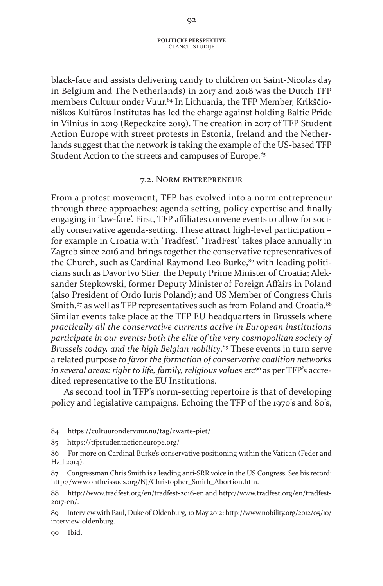black-face and assists delivering candy to children on Saint-Nicolas day in Belgium and The Netherlands) in 2017 and 2018 was the Dutch TFP members Cultuur onder Vuur.84 In Lithuania, the TFP Member, Krikščioniškos Kultūros Institutas has led the charge against holding Baltic Pride in Vilnius in 2019 (Repeckaite 2019). The creation in 2017 of TFP Student Action Europe with street protests in Estonia, Ireland and the Netherlands suggest that the network is taking the example of the US-based TFP Student Action to the streets and campuses of Europe.<sup>85</sup>

### 7.2. Norm entrepreneur

From a protest movement, TFP has evolved into a norm entrepreneur through three approaches: agenda setting, policy expertise and finally engaging in 'law-fare'. First, TFP affiliates convene events to allow for socially conservative agenda-setting. These attract high-level participation – for example in Croatia with 'Tradfest'. 'TradFest' takes place annually in Zagreb since 2016 and brings together the conservative representatives of the Church, such as Cardinal Raymond Leo Burke,<sup>86</sup> with leading politicians such as Davor Ivo Stier, the Deputy Prime Minister of Croatia; Aleksander Stepkowski, former Deputy Minister of Foreign Affairs in Poland (also President of Ordo Iuris Poland); and US Member of Congress Chris Smith,<sup>87</sup> as well as TFP representatives such as from Poland and Croatia.<sup>88</sup> Similar events take place at the TFP EU headquarters in Brussels where *practically all the conservative currents active in European institutions participate in our events; both the elite of the very cosmopolitan society of Brussels today, and the high Belgian nobility*. <sup>89</sup> These events in turn serve a related purpose *to favor the formation of conservative coalition networks in several areas: right to life, family, religious values etc*90 as per TFP's accredited representative to the EU Institutions.

As second tool in TFP's norm-setting repertoire is that of developing policy and legislative campaigns. Echoing the TFP of the 1970's and 80's,

84 https://cultuurondervuur.nu/tag/zwarte-piet/

85 https://tfpstudentactioneurope.org/

86 For more on Cardinal Burke's conservative positioning within the Vatican (Feder and Hall 2014).

87 Congressman Chris Smith is a leading anti-SRR voice in the US Congress. See his record: http://www.ontheissues.org/NJ/Christopher\_Smith\_Abortion.htm.

88 http://www.tradfest.org/en/tradfest-2016-en and http://www.tradfest.org/en/tradfest-2017-en/.

89 Interview with Paul, Duke of Oldenburg, 10 May 2012: http://www.nobility.org/2012/05/10/ interview-oldenburg.

90 Ibid.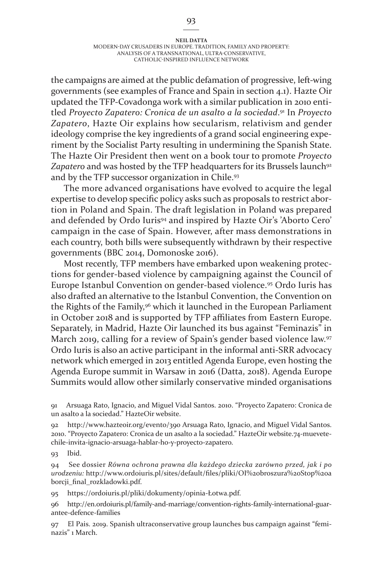#### **Neil Datta** Modern-day Crusaders in Europe. Tradition, Family and Property: analysis of a transnational, ultra-conservative, Catholic-inspired influence network

the campaigns are aimed at the public defamation of progressive, left-wing governments (see examples of France and Spain in section 4.1). Hazte Oir updated the TFP-Covadonga work with a similar publication in 2010 entitled *Proyecto Zapatero: Cronica de un asalto a la sociedad*. 91 In *Proyecto Zapatero*, Hazte Oir explains how secularism, relativism and gender ideology comprise the key ingredients of a grand social engineering experiment by the Socialist Party resulting in undermining the Spanish State. The Hazte Oir President then went on a book tour to promote *Proyecto*  Zapatero and was hosted by the TFP headquarters for its Brussels launch<sup>92</sup> and by the TFP successor organization in Chile.<sup>93</sup>

The more advanced organisations have evolved to acquire the legal expertise to develop specific policy asks such as proposals to restrict abortion in Poland and Spain. The draft legislation in Poland was prepared and defended by Ordo Iuris<sup>94</sup> and inspired by Hazte Oir's 'Aborto Cero' campaign in the case of Spain. However, after mass demonstrations in each country, both bills were subsequently withdrawn by their respective governments (BBC 2014, Domonoske 2016).

Most recently, TFP members have embarked upon weakening protections for gender-based violence by campaigning against the Council of Europe Istanbul Convention on gender-based violence.<sup>95</sup> Ordo Iuris has also drafted an alternative to the Istanbul Convention, the Convention on the Rights of the Family,<sup>96</sup> which it launched in the European Parliament in October 2018 and is supported by TFP affiliates from Eastern Europe. Separately, in Madrid, Hazte Oir launched its bus against "Feminazis" in March 2019, calling for a review of Spain's gender based violence law.97 Ordo Iuris is also an active participant in the informal anti-SRR advocacy network which emerged in 2013 entitled Agenda Europe, even hosting the Agenda Europe summit in Warsaw in 2016 (Datta, 2018). Agenda Europe Summits would allow other similarly conservative minded organisations

91 Arsuaga Rato, Ignacio, and Miguel Vidal Santos. 2010. "Proyecto Zapatero: Cronica de un asalto a la sociedad." HazteOir website.

92 http://www.hazteoir.org/evento/390 Arsuaga Rato, Ignacio, and Miguel Vidal Santos. 2010. "Proyecto Zapatero: Cronica de un asalto a la sociedad." HazteOir website.74-muevetechile-invita-ignacio-arsuaga-hablar-ho-y-proyecto-zapatero.

93 Ibid.

94 See dossier *Równa ochrona prawna dla każdego dziecka zarówno przed, jak i po urodzeniu:* http://www.ordoiuris.pl/sites/default/files/pliki/OI%20broszura%20Stop%20a borcji\_final\_rozkladowki.pdf.

95 https://ordoiuris.pl/pliki/dokumenty/opinia-Łotwa.pdf.

96 http://en.ordoiuris.pl/family-and-marriage/convention-rights-family-international-guarantee-defence-families

97 El Pais. 2019. Spanish ultraconservative group launches bus campaign against "feminazis" 1 March.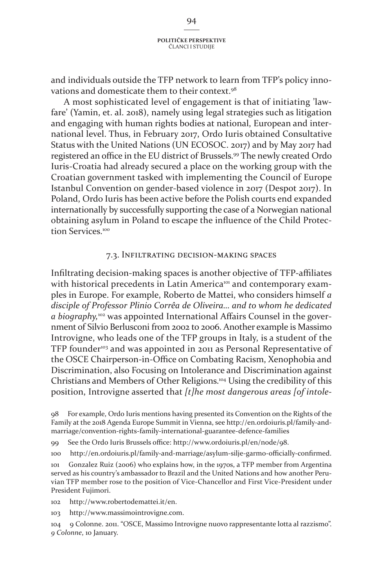and individuals outside the TFP network to learn from TFP's policy innovations and domesticate them to their context.98

A most sophisticated level of engagement is that of initiating 'lawfare' (Yamin, et. al. 2018), namely using legal strategies such as litigation and engaging with human rights bodies at national, European and international level. Thus, in February 2017, Ordo Iuris obtained Consultative Status with the United Nations (UN ECOSOC. 2017) and by May 2017 had registered an office in the EU district of Brussels.<sup>99</sup> The newly created Ordo Iuris-Croatia had already secured a place on the working group with the Croatian government tasked with implementing the Council of Europe Istanbul Convention on gender-based violence in 2017 (Despot 2017). In Poland, Ordo Iuris has been active before the Polish courts end expanded internationally by successfully supporting the case of a Norwegian national obtaining asylum in Poland to escape the influence of the Child Protection Services.<sup>100</sup>

### 7.3. Infiltrating decision-making spaces

Infiltrating decision-making spaces is another objective of TFP-affiliates with historical precedents in Latin America<sup>101</sup> and contemporary examples in Europe. For example, Roberto de Mattei, who considers himself *a disciple of Professor Plinio Corrêa de Oliveira… and to whom he dedicated a biography,*102 was appointed International Affairs Counsel in the government of Silvio Berlusconi from 2002 to 2006. Another example is Massimo Introvigne, who leads one of the TFP groups in Italy, is a student of the TFP founder<sup>103</sup> and was appointed in 2011 as Personal Representative of the OSCE Chairperson-in-Office on Combating Racism, Xenophobia and Discrimination, also Focusing on Intolerance and Discrimination against Christians and Members of Other Religions.104 Using the credibility of this position, Introvigne asserted that *[t]he most dangerous areas [of intole-*

98 For example, Ordo Iuris mentions having presented its Convention on the Rights of the Family at the 2018 Agenda Europe Summit in Vienna, see http://en.ordoiuris.pl/family-andmarriage/convention-rights-family-international-guarantee-defence-families

99 See the Ordo Iuris Brussels office: http://www.ordoiuris.pl/en/node/98.

100 http://en.ordoiuris.pl/family-and-marriage/asylum-silje-garmo-officially-confirmed.

101 Gonzalez Ruiz (2006) who explains how, in the 1970s, a TFP member from Argentina served as his country's ambassador to Brazil and the United Nations and how another Peruvian TFP member rose to the position of Vice-Chancellor and First Vice-President under President Fujimori.

102 http://www.robertodemattei.it/en.

103 http://www.massimointrovigne.com.

104 9 Colonne. 2011. "OSCE, Massimo Introvigne nuovo rappresentante lotta al razzismo". *9 Colonne*, 10 January.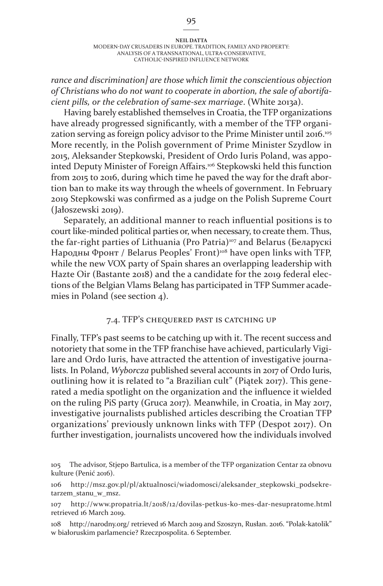*rance and discrimination] are those which limit the conscientious objection of Christians who do not want to cooperate in abortion, the sale of abortifacient pills, or the celebration of same-sex marriage*. (White 2013a).

Having barely established themselves in Croatia, the TFP organizations have already progressed significantly, with a member of the TFP organization serving as foreign policy advisor to the Prime Minister until 2016.<sup>105</sup> More recently, in the Polish government of Prime Minister Szydlow in 2015, Aleksander Stepkowski, President of Ordo Iuris Poland, was appointed Deputy Minister of Foreign Affairs.106 Stepkowski held this function from 2015 to 2016, during which time he paved the way for the draft abortion ban to make its way through the wheels of government. In February 2019 Stepkowski was confirmed as a judge on the Polish Supreme Court (Jałoszewski 2019).

Separately, an additional manner to reach influential positions is to court like-minded political parties or, when necessary, to create them. Thus, the far-right parties of Lithuania (Pro Patria)<sup>107</sup> and Belarus (Беларускі Народны Фронт / Belarus Peoples' Front)<sup>108</sup> have open links with TFP, while the new VOX party of Spain shares an overlapping leadership with Hazte Oir (Bastante 2018) and the a candidate for the 2019 federal elections of the Belgian Vlams Belang has participated in TFP Summer academies in Poland (see section 4).

### 7.4. TFP's chequered past is catching up

Finally, TFP's past seems to be catching up with it. The recent success and notoriety that some in the TFP franchise have achieved, particularly Vigilare and Ordo Iuris, have attracted the attention of investigative journalists. In Poland, *Wyborcza* published several accounts in 2017 of Ordo Iuris, outlining how it is related to "a Brazilian cult" (Piątek 2017). This generated a media spotlight on the organization and the influence it wielded on the ruling PiS party (Gruca 2017)*.* Meanwhile, in Croatia, in May 2017, investigative journalists published articles describing the Croatian TFP organizations' previously unknown links with TFP (Despot 2017). On further investigation, journalists uncovered how the individuals involved

106 http://msz.gov.pl/pl/aktualnosci/wiadomosci/aleksander\_stepkowski\_podsekretarzem\_stanu\_w\_msz.

107 http://www.propatria.lt/2018/12/dovilas-petkus-ko-mes-dar-nesupratome.html retrieved 16 March 2019.

108 http://narodny.org/ retrieved 16 March 2019 and Szoszyn, Rusłan. 2016. "Polak-katolik" w białoruskim parlamencie? Rzeczpospolita. 6 September.

<sup>105</sup> The advisor, Stjepo Bartulica, is a member of the TFP organization Centar za obnovu kulture (Penić 2016).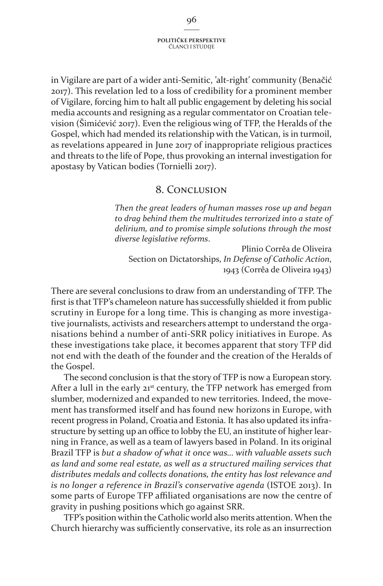in Vigilare are part of a wider anti-Semitic, 'alt-right' community (Benačić 2017). This revelation led to a loss of credibility for a prominent member of Vigilare, forcing him to halt all public engagement by deleting his social media accounts and resigning as a regular commentator on Croatian television (Šimićević 2017). Even the religious wing of TFP, the Heralds of the Gospel, which had mended its relationship with the Vatican, is in turmoil, as revelations appeared in June 2017 of inappropriate religious practices and threats to the life of Pope, thus provoking an internal investigation for apostasy by Vatican bodies (Tornielli 2017).

# 8. Conclusion

*Then the great leaders of human masses rose up and began to drag behind them the multitudes terrorized into a state of delirium, and to promise simple solutions through the most diverse legislative reforms*.

Plinio Corrêa de Oliveira Section on Dictatorships, *In Defense of Catholic Action*, 1943 (Corrêa de Oliveira 1943)

There are several conclusions to draw from an understanding of TFP. The first is that TFP's chameleon nature has successfully shielded it from public scrutiny in Europe for a long time. This is changing as more investigative journalists, activists and researchers attempt to understand the organisations behind a number of anti-SRR policy initiatives in Europe. As these investigations take place, it becomes apparent that story TFP did not end with the death of the founder and the creation of the Heralds of the Gospel.

The second conclusion is that the story of TFP is now a European story. After a lull in the early  $21<sup>st</sup>$  century, the TFP network has emerged from slumber, modernized and expanded to new territories. Indeed, the movement has transformed itself and has found new horizons in Europe, with recent progress in Poland, Croatia and Estonia. It has also updated its infrastructure by setting up an office to lobby the EU, an institute of higher learning in France, as well as a team of lawyers based in Poland. In its original Brazil TFP is *but a shadow of what it once was… with valuable assets such as land and some real estate, as well as a structured mailing services that distributes medals and collects donations, the entity has lost relevance and is no longer a reference in Brazil's conservative agenda* (ISTOE 2013). In some parts of Europe TFP affiliated organisations are now the centre of gravity in pushing positions which go against SRR.

TFP's position within the Catholic world also merits attention. When the Church hierarchy was sufficiently conservative, its role as an insurrection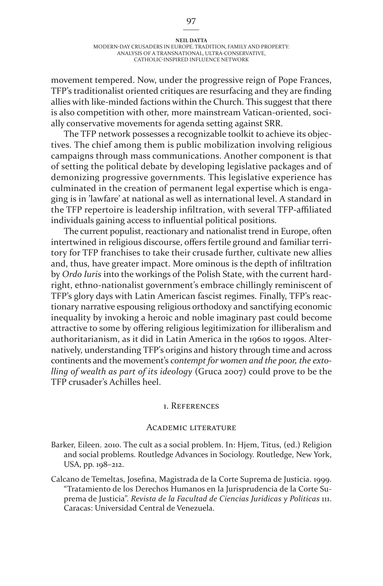movement tempered. Now, under the progressive reign of Pope Frances, TFP's traditionalist oriented critiques are resurfacing and they are finding allies with like-minded factions within the Church. This suggest that there is also competition with other, more mainstream Vatican-oriented, socially conservative movements for agenda setting against SRR.

The TFP network possesses a recognizable toolkit to achieve its objectives. The chief among them is public mobilization involving religious campaigns through mass communications. Another component is that of setting the political debate by developing legislative packages and of demonizing progressive governments. This legislative experience has culminated in the creation of permanent legal expertise which is engaging is in 'lawfare' at national as well as international level. A standard in the TFP repertoire is leadership infiltration, with several TFP-affiliated individuals gaining access to influential political positions.

The current populist, reactionary and nationalist trend in Europe, often intertwined in religious discourse, offers fertile ground and familiar territory for TFP franchises to take their crusade further, cultivate new allies and, thus, have greater impact. More ominous is the depth of infiltration by *Ordo Iuris* into the workings of the Polish State, with the current hardright, ethno-nationalist government's embrace chillingly reminiscent of TFP's glory days with Latin American fascist regimes. Finally, TFP's reactionary narrative espousing religious orthodoxy and sanctifying economic inequality by invoking a heroic and noble imaginary past could become attractive to some by offering religious legitimization for illiberalism and authoritarianism, as it did in Latin America in the 1960s to 1990s. Alternatively, understanding TFP's origins and history through time and across continents and the movement's *contempt for women and the poor, the extolling of wealth as part of its ideology* (Gruca 2007) could prove to be the TFP crusader's Achilles heel.

### 1. References

### Academic literature

- Barker, Eileen. 2010. The cult as a social problem. In: Hjem, Titus, (ed.) Religion and social problems. Routledge Advances in Sociology. Routledge, New York, USA, pp. 198–212.
- Calcano de Temeltas, Josefina, Magistrada de la Corte Suprema de Justicia. 1999. "Tratamiento de los Derechos Humanos en la Jurisprudencia de la Corte Suprema de Justicia". *Revista de la Facultad de Ciencias Juridicas y Politicas* 111. Caracas: Universidad Central de Venezuela.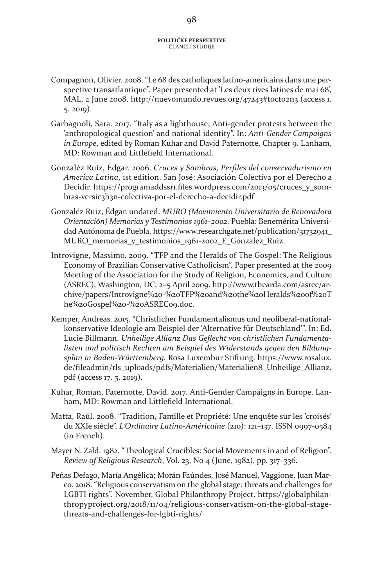- Compagnon, Olivier. 2008. "Le 68 des catholiques latino-américains dans une perspective transatlantique". Paper presented at 'Les deux rives latines de mai 68', MAL, 2 June 2008. http://nuevomundo.revues.org/47243#tocto2n3 (access 1. 5. 2019).
- Garbagnoli, Sara. 2017. "Italy as a lighthouse; Anti-gender protests between the 'anthropological question' and national identity". In: *Anti-Gender Campaigns in Europe*, edited by Roman Kuhar and David Paternotte, Chapter 9. Lanham, MD: Rowman and Littlefield International.
- Gonzaléz Ruiz, Édgar. 2006. *Cruces y Sombras, Perfiles del conservadurismo en America Latina*, 1st edition. San José: Asociación Colectiva por el Derecho a Decidir. https://programaddssrr.files.wordpress.com/2013/05/cruces\_y\_sombras-versic3b3n-colectiva-por-el-derecho-a-decidir.pdf
- Gonzaléz Ruiz, Édgar. undated. *MURO (Movimiento Universitario de Renovadora Orientación) Memorias y Testimonios 1961–2002*. Puebla: Benemérita Universidad Autónoma de Puebla. https://www.researchgate.net/publication/31732941\_ MURO\_memorias\_y\_testimonios\_1961-2002\_E\_Gonzalez\_Ruiz.
- Introvigne, Massimo. 2009. "TFP and the Heralds of The Gospel: The Religious Economy of Brazilian Conservative Catholicism". Paper presented at the 2009 Meeting of the Association for the Study of Religion, Economics, and Culture (ASREC), Washington, DC, 2–5 April 2009. http://www.thearda.com/asrec/archive/papers/Introvigne%20-%20TFP%20and%20the%20Heralds%20of%20T he%20Gospel%20-%20ASREC09.doc.
- Kemper, Andreas. 2015. "Christlicher Fundamentalismus und neoliberal-nationalkonservative Ideologie am Beispiel der 'Alternative für Deutschland'". In: Ed. Lucie Billmann. *Unheilige Allianz Das Geflecht von christlichen Fundamentalisten und politisch Rechten am Beispiel des Widerstands gegen den Bildungsplan in Baden-Württemberg.* Rosa Luxembur Stiftung. https://www.rosalux. de/fileadmin/rls\_uploads/pdfs/Materialien/Materialien8\_Unheilige\_Allianz. pdf (access 17. 5. 2019).
- Kuhar, Roman, Paternotte, David. 2017. Anti-Gender Campaigns in Europe. Lanham, MD: Rowman and Littlefield International.
- Matta, Raúl. 2008. "Tradition, Famille et Propriété: Une enquête sur les 'croisés' du XXIe siècle". *L'Ordinaire Latino-Américaine* (210): 121–137. ISSN 0997-0584 (in French).
- Mayer N. Zald. 1982. "Theological Crucibles: Social Movements in and of Religion". *Review of Religious Research*, Vol. 23, No 4 (June, 1982), pp. 317–336.
- Peñas Defago, María Angélica; Morán Faúndes, José Manuel, Vaggione, Juan Marco. 2018. "Religious conservatism on the global stage: threats and challenges for LGBTI rights". November, Global Philanthropy Project. https://globalphilanthropyproject.org/2018/11/04/religious-conservatism-on-the-global-stagethreats-and-challenges-for-lgbti-rights/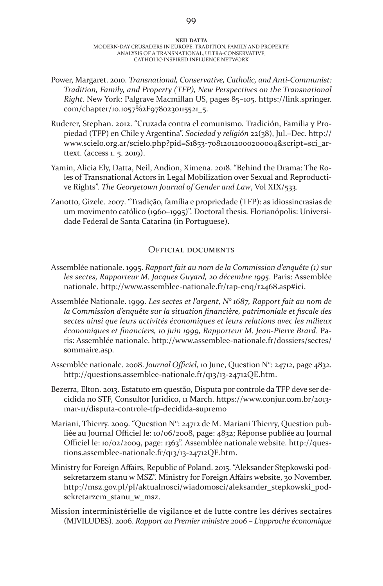- Power, Margaret. 2010. *Transnational, Conservative, Catholic, and Anti-Communist: Tradition, Family, and Property (TFP), New Perspectives on the Transnational Right*. New York: Palgrave Macmillan US, pages 85–105. https://link.springer. com/chapter/10.1057%2F9780230115521\_5.
- Ruderer, Stephan. 2012. "Cruzada contra el comunismo. Tradición, Familia y Propiedad (TFP) en Chile y Argentina". *Sociedad y religión* 22(38), Jul.–Dec. http:// www.scielo.org.ar/scielo.php?pid=S1853-70812012000200004&script=sci\_arttext. (access 1. 5. 2019).
- Yamin, Alicia Ely, Datta, Neil, Andion, Ximena. 2018. "Behind the Drama: The Roles of Transnational Actors in Legal Mobilization over Sexual and Reproductive Rights". *The Georgetown Journal of Gender and Law*, Vol XIX/533.
- Zanotto, Gizele. 2007. "Tradição, família e propriedade (TFP): as idiossincrasias de um movimento católico (1960–1995)". Doctoral thesis. Florianópolis: Universidade Federal de Santa Catarina (in Portuguese).

### OFFICIAL DOCUMENTS

- Assemblée nationale. 1995. *Rapport fait au nom de la Commission d'enquête (1) sur les sectes, Rapporteur M. Jacques Guyard, 20 décembre 1995*. Paris: Assemblée nationale. http://www.assemblee-nationale.fr/rap-enq/r2468.asp#ici.
- Assemblée Nationale. 1999. *Les sectes et l'argent, N° 1687, Rapport fait au nom de la Commission d'enquête sur la situation financière, patrimoniale et fiscale des sectes ainsi que leurs activités économiques et leurs relations avec les milieux économiques et financiers, 10 juin 1999, Rapporteur M. Jean-Pierre Brard*. Paris: Assemblée nationale. http://www.assemblee-nationale.fr/dossiers/sectes/ sommaire.asp.
- Assemblée nationale. 2008. *Journal Officiel*, 10 June, Question N°: 24712, page 4832. http://questions.assemblee-nationale.fr/q13/13-24712QE.htm.
- Bezerra, Elton. 2013. Estatuto em questão, Disputa por controle da TFP deve ser decidida no STF, Consultor Juridico, 11 March. https://www.conjur.com.br/2013 mar-11/disputa-controle-tfp-decidida-supremo
- Mariani, Thierry. 2009. "Question N°: 24712 de M. Mariani Thierry, Question publiée au Journal Officiel le: 10/06/2008, page: 4832; Réponse publiée au Journal Officiel le: 10/02/2009, page: 1363". Assemblée nationale website. http://questions.assemblee-nationale.fr/q13/13-24712QE.htm.
- Ministry for Foreign Affairs, Republic of Poland. 2015. "Aleksander Stępkowski podsekretarzem stanu w MSZ". Ministry for Foreign Affairs website, 30 November. http://msz.gov.pl/pl/aktualnosci/wiadomosci/aleksander\_stepkowski\_podsekretarzem stanu w msz.
- Mission interministérielle de vigilance et de lutte contre les dérives sectaires (MIVILUDES). 2006. *Rapport au Premier ministre 2006 – L'approche économique*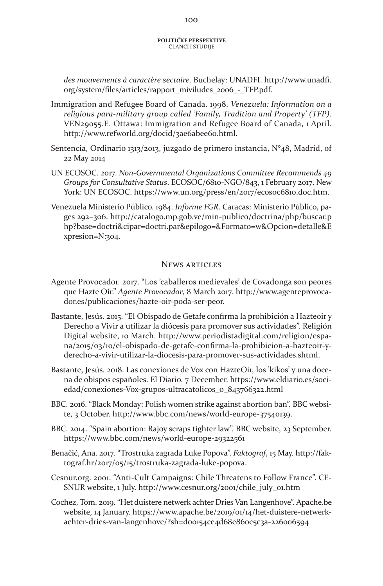*des mouvements à caractère sectaire*. Buchelay: UNADFI. http://www.unadfi. org/system/files/articles/rapport\_miviludes\_2006\_-\_TFP.pdf.

- Immigration and Refugee Board of Canada. 1998. *Venezuela: Information on a religious para-military group called 'Family, Tradition and Property' (TFP)*. VEN29055.E. Ottawa: Immigration and Refugee Board of Canada, 1 April. http://www.refworld.org/docid/3ae6abee60.html.
- Sentencia, Ordinario 1313/2013, juzgado de primero instancia, N°48, Madrid, of 22 May 2014
- UN ECOSOC. 2017. *Non-Governmental Organizations Committee Recommends 49 Groups for Consultative Status*. ECOSOC/6810-NGO/843, 1 February 2017. New York: UN ECOSOC. https://www.un.org/press/en/2017/ecosoc6810.doc.htm.
- Venezuela Ministerio Público. 1984. *Informe FGR*. Caracas: Ministerio Público, pages 292–306. http://catalogo.mp.gob.ve/min-publico/doctrina/php/buscar.p hp?base=doctri&cipar=doctri.par&epilogo=&Formato=w&Opcion=detalle&E xpresion=N:304.

### News articles

- Agente Provocador. 2017. "Los 'caballeros medievales' de Covadonga son peores que Hazte Oír." *Agente Provocador*, 8 March 2017. http://www.agenteprovocador.es/publicaciones/hazte-oir-poda-ser-peor.
- Bastante, Jesús. 2015. "El Obispado de Getafe confirma la prohibición a Hazteoir y Derecho a Vivir a utilizar la diócesis para promover sus actividades". Religión Digital website, 10 March. http://www.periodistadigital.com/religion/espana/2015/03/10/el-obispado-de-getafe-confirma-la-prohibicion-a-hazteoir-yderecho-a-vivir-utilizar-la-diocesis-para-promover-sus-actividades.shtml.
- Bastante, Jesús. 2018. Las conexiones de Vox con HazteOir, los 'kikos' y una docena de obispos españoles. El Diario. 7 December. https://www.eldiario.es/sociedad/conexiones-Vox-grupos-ultracatolicos\_0\_843766322.html
- BBC. 2016. "Black Monday: Polish women strike against abortion ban". BBC website, 3 October. http://www.bbc.com/news/world-europe-37540139.
- BBC. 2014. "Spain abortion: Rajoy scraps tighter law". BBC website, 23 September. https://www.bbc.com/news/world-europe-29322561
- Benačić, Ana. 2017. "Trostruka zagrada Luke Popova". *Faktograf*, 15 May. http://faktograf.hr/2017/05/15/trostruka-zagrada-luke-popova.
- Cesnur.org. 2001. "Anti-Cult Campaigns: Chile Threatens to Follow France". CE-SNUR website, 1 July. http://www.cesnur.org/2001/chile\_july\_01.htm
- Cochez, Tom. 2019. "Het duistere netwerk achter Dries Van Langenhove". Apache.be website, 14 January. https://www.apache.be/2019/01/14/het-duistere-netwerkachter-dries-van-langenhove/?sh=d00154ce4d68e860c5c3a-226006594

#### 100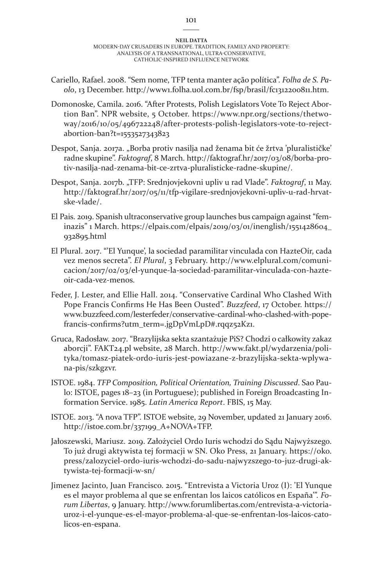- Cariello, Rafael. 2008. "Sem nome, TFP tenta manter ação política". *Folha de S. Paolo*, 13 December. http://www1.folha.uol.com.br/fsp/brasil/fc1312200811.htm.
- Domonoske, Camila. 2016. "After Protests, Polish Legislators Vote To Reject Abortion Ban". NPR website, 5 October. https://www.npr.org/sections/thetwoway/2016/10/05/496722248/after-protests-polish-legislators-vote-to-rejectabortion-ban?t=1553527343823
- Despot, Sanja. 2017a. "Borba protiv nasilja nad ženama bit će žrtva 'pluralističke' radne skupine". *Faktograf*, 8 March. http://faktograf.hr/2017/03/08/borba-protiv-nasilja-nad-zenama-bit-ce-zrtva-pluralisticke-radne-skupine/.
- Despot, Sanja. 2017b. "TFP: Srednjovjekovni upliv u rad Vlade". *Faktograf*, 11 May. http://faktograf.hr/2017/05/11/tfp-vigilare-srednjovjekovni-upliv-u-rad-hrvatske-vlade/.
- El Pais. 2019. Spanish ultraconservative group launches bus campaign against "feminazis" 1 March. https://elpais.com/elpais/2019/03/01/inenglish/1551428604\_ 932895.html
- El Plural. 2017. "'El Yunque', la sociedad paramilitar vinculada con HazteOír, cada vez menos secreta". *El Plural*, 3 February. http://www.elplural.com/comunicacion/2017/02/03/el-yunque-la-sociedad-paramilitar-vinculada-con-hazteoir-cada-vez-menos.
- Feder, J. Lester, and Ellie Hall. 2014. "Conservative Cardinal Who Clashed With Pope Francis Confirms He Has Been Ousted". *Buzzfeed*, 17 October. https:// www.buzzfeed.com/lesterfeder/conservative-cardinal-who-clashed-with-popefrancis-confirms?utm\_term=.jgDpVmLpD#.rqqz52Kz1.
- Gruca, Radosław. 2017. "Brazylijska sekta szantażuje PiS? Chodzi o całkowity zakaz aborcji". FAKT24.pl website, 28 March. http://www.fakt.pl/wydarzenia/polityka/tomasz-piatek-ordo-iuris-jest-powiazane-z-brazylijska-sekta-wplywana-pis/szkgzvr.
- ISTOE. 1984. *TFP Composition, Political Orientation, Training Discussed*. Sao Paulo: ISTOE, pages 18–23 (in Portuguese); published in Foreign Broadcasting Information Service. 1985. *Latin America Report*. FBIS, 15 May.
- ISTOE. 2013. "A nova TFP". ISTOE website, 29 November, updated 21 January 2016. http://istoe.com.br/337199\_A+NOVA+TFP.
- Jałoszewski, Mariusz. 2019. Założyciel Ordo Iuris wchodzi do Sądu Najwyższego. To już drugi aktywista tej formacji w SN. Oko Press, 21 January. https://oko. press/zalozyciel-ordo-iuris-wchodzi-do-sadu-najwyzszego-to-juz-drugi-aktywista-tej-formacji-w-sn/
- Jimenez Jacinto, Juan Francisco. 2015. "Entrevista a Victoria Uroz (I): 'El Yunque es el mayor problema al que se enfrentan los laicos católicos en España'". *Forum Libertas*, 9 January. http://www.forumlibertas.com/entrevista-a-victoriauroz-i-el-yunque-es-el-mayor-problema-al-que-se-enfrentan-los-laicos-catolicos-en-espana.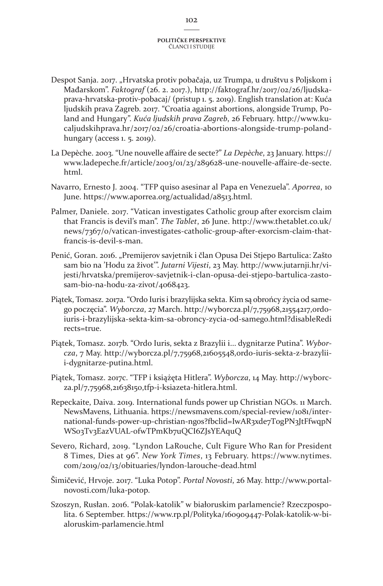- Despot Sanja. 2017. "Hrvatska protiv pobačaja, uz Trumpa, u društvu s Poljskom i Mađarskom". *Faktograf* (26. 2. 2017.), http://faktograf.hr/2017/02/26/ljudskaprava-hrvatska-protiv-pobacaj/ (pristup 1. 5. 2019). English translation at: Kuća ljudskih prava Zagreb. 2017. "Croatia against abortions, alongside Trump, Poland and Hungary". *Kuća ljudskih prava Zagreb*, 26 February. http://www.kucaljudskihprava.hr/2017/02/26/croatia-abortions-alongside-trump-polandhungary (access 1. 5. 2019).
- La Depèche. 2003. "Une nouvelle affaire de secte?" *La Depèche*, 23 January. https:// www.ladepeche.fr/article/2003/01/23/289628-une-nouvelle-affaire-de-secte. html.
- Navarro, Ernesto J. 2004. "TFP quiso asesinar al Papa en Venezuela". *Aporrea*, 10 June. https://www.aporrea.org/actualidad/a8513.html.
- Palmer, Daniele. 2017. "Vatican investigates Catholic group after exorcism claim that Francis is devil's man". *The Tablet*, 26 June. http://www.thetablet.co.uk/ news/7367/0/vatican-investigates-catholic-group-after-exorcism-claim-thatfrancis-is-devil-s-man.
- Penić, Goran. 2016. "Premijerov savjetnik i član Opusa Dei Stjepo Bartulica: Zašto sam bio na 'Hodu za život'". *Jutarni Vijesti*, 23 May. http://www.jutarnji.hr/vijesti/hrvatska/premijerov-savjetnik-i-clan-opusa-dei-stjepo-bartulica-zastosam-bio-na-hodu-za-zivot/4068423.
- Piątek, Tomasz. 2017a. "Ordo Iuris i brazylijska sekta. Kim są obrońcy życia od samego poczęcia". *Wyborcza*, 27 March. http://wyborcza.pl/7,75968,21554217,ordoiuris-i-brazylijska-sekta-kim-sa-obroncy-zycia-od-samego.html?disableRedi rects=true.
- Piątek, Tomasz. 2017b. "Ordo Iuris, sekta z Brazylii i... dygnitarze Putina". *Wyborcza*, 7 May. http://wyborcza.pl/7,75968,21605548,ordo-iuris-sekta-z-brazyliii-dygnitarze-putina.html.
- Piątek, Tomasz. 2017c. "TFP i książęta Hitlera". *Wyborcza*, 14 May. http://wyborcza.pl/7,75968,21638150,tfp-i-ksiazeta-hitlera.html.
- Repeckaite, Daiva. 2019. International funds power up Christian NGOs. 11 March. NewsMavens, Lithuania. https://newsmavens.com/special-review/1081/international-funds-power-up-christian-ngos?fbclid=IwAR3xde7T0gPN3JtFfwqpN WS03Tv3EazVUAL-0fwTPmKb7uQCI6ZJsYEAquQ
- Severo, Richard, 2019. "Lyndon LaRouche, Cult Figure Who Ran for President 8 Times, Dies at 96". *New York Times*, 13 February. https://www.nytimes. com/2019/02/13/obituaries/lyndon-larouche-dead.html
- Šimičević, Hrvoje. 2017. "Luka Potop". *Portal Novosti*, 26 May. http://www.portalnovosti.com/luka-potop.
- Szoszyn, Rusłan. 2016. "Polak-katolik" w białoruskim parlamencie? Rzeczpospolita. 6 September. https://www.rp.pl/Polityka/160909447-Polak-katolik-w-bialoruskim-parlamencie.html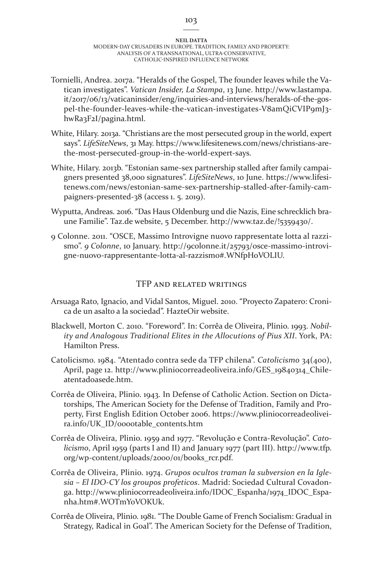- Tornielli, Andrea. 2017a. "Heralds of the Gospel, The founder leaves while the Vatican investigates". *Vatican Insider, La Stampa*, 13 June. http://www.lastampa. it/2017/06/13/vaticaninsider/eng/inquiries-and-interviews/heralds-of-the-gospel-the-founder-leaves-while-the-vatican-investigates-V8amQiCVIP9mJ3 hwRa3F2I/pagina.html.
- White, Hilary. 2013a. "Christians are the most persecuted group in the world, expert says". *LifeSiteNews*, 31 May. https://www.lifesitenews.com/news/christians-arethe-most-persecuted-group-in-the-world-expert-says.
- White, Hilary. 2013b. "Estonian same-sex partnership stalled after family campaigners presented 38,000 signatures". *LifeSiteNews*, 10 June. https://www.lifesitenews.com/news/estonian-same-sex-partnership-stalled-after-family-campaigners-presented-38 (access 1. 5. 2019).
- Wyputta, Andreas. 2016. "Das Haus Oldenburg und die Nazis, Eine schrecklich braune Familie". Taz.de website, 5 December. http://www.taz.de/!5359430/.
- 9 Colonne. 2011. "OSCE, Massimo Introvigne nuovo rappresentate lotta al razzismo". *9 Colonne*, 10 January. http://9colonne.it/25793/osce-massimo-introvigne-nuovo-rappresentante-lotta-al-razzismo#.WNfpHoVOLIU.

### TFP and related writings

- Arsuaga Rato, Ignacio, and Vidal Santos, Miguel. 2010. "Proyecto Zapatero: Cronica de un asalto a la sociedad". HazteOir website.
- Blackwell, Morton C. 2010. "Foreword". In: Corrêa de Oliveira, Plinio. 1993. *Nobility and Analogous Traditional Elites in the Allocutions of Pius XII*. York, PA: Hamilton Press.
- Catolicismo. 1984. "Atentado contra sede da TFP chilena". *Catolicismo* 34(400), April, page 12. http://www.pliniocorreadeoliveira.info/GES\_19840314\_Chileatentadoasede.htm.
- Corrêa de Oliveira, Plinio. 1943. In Defense of Catholic Action. Section on Dictatorships, The American Society for the Defense of Tradition, Family and Property, First English Edition October 2006. https://www.pliniocorreadeoliveira.info/UK\_ID/0000table\_contents.htm
- Corrêa de Oliveira, Plinio. 1959 and 1977. "Revolução e Contra-Revolução". *Catolicismo*, April 1959 (parts I and II) and January 1977 (part III). http://www.tfp. org/wp-content/uploads/2000/01/books\_rcr.pdf.
- Corrêa de Oliveira, Plinio. 1974. *Grupos ocultos traman la subversion en la Iglesia – El IDO-CY los groupos profeticos*. Madrid: Sociedad Cultural Covadonga. http://www.pliniocorreadeoliveira.info/IDOC\_Espanha/1974\_IDOC\_Espanha.htm#.WOTmYoVOKUk.
- Corrêa de Oliveira, Plinio. 1981. "The Double Game of French Socialism: Gradual in Strategy, Radical in Goal". The American Society for the Defense of Tradition,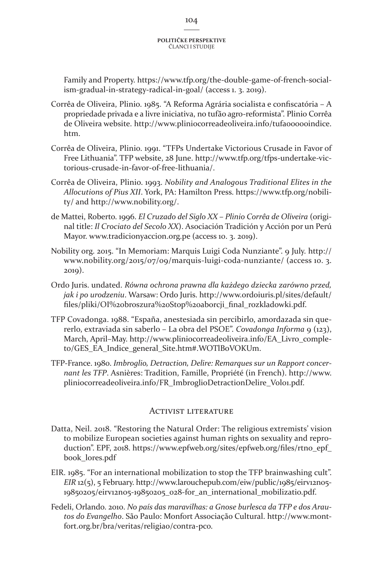Family and Property. https://www.tfp.org/the-double-game-of-french-socialism-gradual-in-strategy-radical-in-goal/ (access 1. 3. 2019).

- Corrêa de Oliveira, Plinio. 1985. "A Reforma Agrária socialista e confiscatória A propriedade privada e a livre iniciativa, no tufão agro-reformista". Plinio Corrêa de Oliveira website. http://www.pliniocorreadeoliveira.info/tufaoooooindice. htm.
- Corrêa de Oliveira, Plinio. 1991. "TFPs Undertake Victorious Crusade in Favor of Free Lithuania". TFP website, 28 June. http://www.tfp.org/tfps-undertake-victorious-crusade-in-favor-of-free-lithuania/.
- Corrêa de Oliveira, Plinio. 1993. *Nobility and Analogous Traditional Elites in the Allocutions of Pius XII*. York, PA: Hamilton Press. https://www.tfp.org/nobility/ and http://www.nobility.org/.
- de Mattei, Roberto. 1996. *El Cruzado del Siglo XX Plinio Corrêa de Oliveira* (original title: *Il Crociato del Secolo XX*). Asociación Tradición y Acción por un Perú Mayor. www.tradicionyaccion.org.pe (access 10. 3. 2019).
- Nobility org. 2015. "In Memoriam: Marquis Luigi Coda Nunziante". 9 July. http:// www.nobility.org/2015/07/09/marquis-luigi-coda-nunziante/ (access 10. 3. 2019).
- Ordo Juris. undated. *Równa ochrona prawna dla każdego dziecka zarówno przed, jak i po urodzeniu*. Warsaw: Ordo Juris. http://www.ordoiuris.pl/sites/default/ files/pliki/OI%20broszura%20Stop%20aborcji\_final\_rozkladowki.pdf.
- TFP Covadonga. 1988. "España, anestesiada sin percibirlo, amordazada sin quererlo, extraviada sin saberlo – La obra del PSOE". *Covadonga Informa* 9 (123), March, April–May. http://www.pliniocorreadeoliveira.info/EA\_Livro\_completo/GES\_EA\_Indice\_general\_Site.htm#.WOTlBoVOKUm.
- TFP-France. 1980. *Imbroglio, Detraction, Delire: Remarques sur un Rapport concernant les TFP*. Asnières: Tradition, Famille, Propriété (in French). http://www. pliniocorreadeoliveira.info/FR\_ImbroglioDetractionDelire\_Vol01.pdf.

### Activist literature

- Datta, Neil. 2018. "Restoring the Natural Order: The religious extremists' vision to mobilize European societies against human rights on sexuality and reproduction". EPF, 2018. https://www.epfweb.org/sites/epfweb.org/files/rtno\_epf\_ book\_lores.pdf
- EIR. 1985. "For an international mobilization to stop the TFP brainwashing cult". *EIR* 12(5), 5 February. http://www.larouchepub.com/eiw/public/1985/eirv12n05- 19850205/eirv12n05-19850205\_028-for\_an\_international\_mobilizatio.pdf.
- Fedeli, Orlando. 2010. *No país das maravilhas: a Gnose burlesca da TFP e dos Arautos do Evangelho*. São Paulo: Monfort Associação Cultural. http://www.montfort.org.br/bra/veritas/religiao/contra-pco.